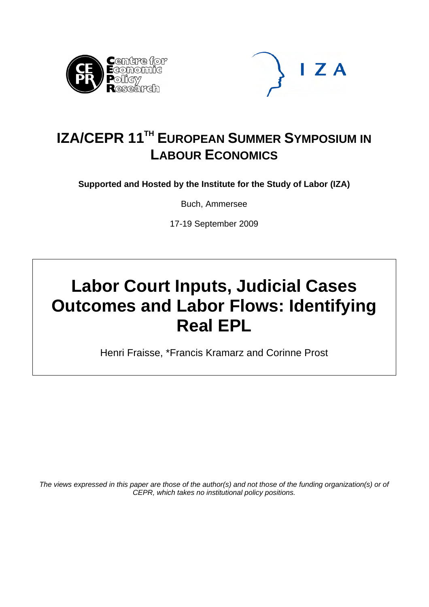



# **IZA/CEPR 11<sup>TH</sup> EUROPEAN SUMMER SYMPOSIUM IN LABOUR ECONOMICS**

**Supported and Hosted by the Institute for the Study of Labor (IZA)** 

Buch, Ammersee

17-19 September 2009

# **Labor Court Inputs, Judicial Cases Outcomes and Labor Flows: Identifying Real EPL**

Henri Fraisse, \*Francis Kramarz and Corinne Prost

*The views expressed in this paper are those of the author(s) and not those of the funding organization(s) or of CEPR, which takes no institutional policy positions.*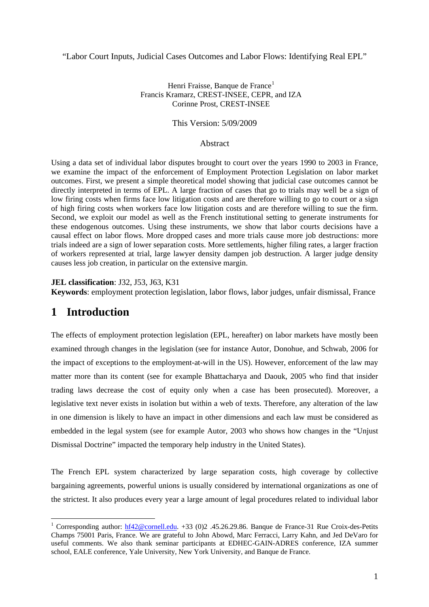"Labor Court Inputs, Judicial Cases Outcomes and Labor Flows: Identifying Real EPL"

#### Henri Fraisse, Banque de France<sup>[1](#page-1-0)</sup> Francis Kramarz, CREST-INSEE, CEPR, and IZA Corinne Prost, CREST-INSEE

#### This Version: 5/09/2009

#### Abstract

Using a data set of individual labor disputes brought to court over the years 1990 to 2003 in France, we examine the impact of the enforcement of Employment Protection Legislation on labor market outcomes. First, we present a simple theoretical model showing that judicial case outcomes cannot be directly interpreted in terms of EPL. A large fraction of cases that go to trials may well be a sign of low firing costs when firms face low litigation costs and are therefore willing to go to court or a sign of high firing costs when workers face low litigation costs and are therefore willing to sue the firm. Second, we exploit our model as well as the French institutional setting to generate instruments for these endogenous outcomes. Using these instruments, we show that labor courts decisions have a causal effect on labor flows. More dropped cases and more trials cause more job destructions: more trials indeed are a sign of lower separation costs. More settlements, higher filing rates, a larger fraction of workers represented at trial, large lawyer density dampen job destruction. A larger judge density causes less job creation, in particular on the extensive margin.

**JEL classification**: J32, J53, J63, K31

**Keywords**: employment protection legislation, labor flows, labor judges, unfair dismissal, France

# **1 Introduction**

 $\overline{a}$ 

The effects of employment protection legislation (EPL, hereafter) on labor markets have mostly been examined through changes in the legislation (see for instance Autor, Donohue, and Schwab, 2006 for the impact of exceptions to the employment-at-will in the US). However, enforcement of the law may matter more than its content (see for example Bhattacharya and Daouk, 2005 who find that insider trading laws decrease the cost of equity only when a case has been prosecuted). Moreover, a legislative text never exists in isolation but within a web of texts. Therefore, any alteration of the law in one dimension is likely to have an impact in other dimensions and each law must be considered as embedded in the legal system (see for example Autor, 2003 who shows how changes in the "Unjust Dismissal Doctrine" impacted the temporary help industry in the United States).

The French EPL system characterized by large separation costs, high coverage by collective bargaining agreements, powerful unions is usually considered by international organizations as one of the strictest. It also produces every year a large amount of legal procedures related to individual labor

<span id="page-1-0"></span><sup>&</sup>lt;sup>1</sup> Corresponding author: [hf42@cornell.edu](mailto:hf42@cornell.edu). +33 (0)2 .45.26.29.86. Banque de France-31 Rue Croix-des-Petits Champs 75001 Paris, France. We are grateful to John Abowd, Marc Ferracci, Larry Kahn, and Jed DeVaro for useful comments. We also thank seminar participants at EDHEC-GAIN-ADRES conference, IZA summer school, EALE conference, Yale University, New York University, and Banque de France.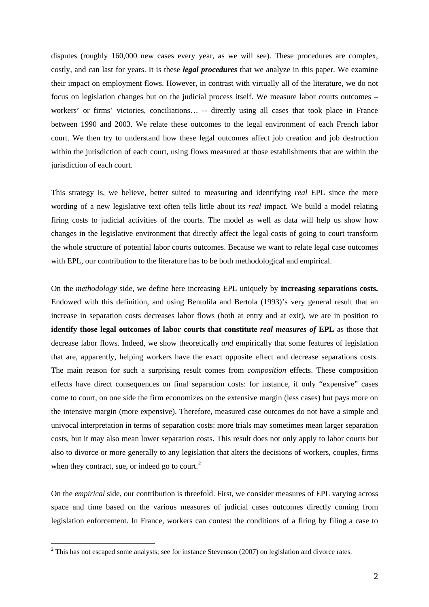disputes (roughly 160,000 new cases every year, as we will see). These procedures are complex, costly, and can last for years. It is these *legal procedures* that we analyze in this paper. We examine their impact on employment flows. However, in contrast with virtually all of the literature, we do not focus on legislation changes but on the judicial process itself. We measure labor courts outcomes – workers' or firms' victories, conciliations… -- directly using all cases that took place in France between 1990 and 2003. We relate these outcomes to the legal environment of each French labor court. We then try to understand how these legal outcomes affect job creation and job destruction within the jurisdiction of each court, using flows measured at those establishments that are within the jurisdiction of each court.

This strategy is, we believe, better suited to measuring and identifying *real* EPL since the mere wording of a new legislative text often tells little about its *real* impact. We build a model relating firing costs to judicial activities of the courts. The model as well as data will help us show how changes in the legislative environment that directly affect the legal costs of going to court transform the whole structure of potential labor courts outcomes. Because we want to relate legal case outcomes with EPL, our contribution to the literature has to be both methodological and empirical.

On the *methodology* side, we define here increasing EPL uniquely by **increasing separations costs.**  Endowed with this definition, and using Bentolila and Bertola (1993)'s very general result that an increase in separation costs decreases labor flows (both at entry and at exit), we are in position to **identify those legal outcomes of labor courts that constitute** *real measures of* **EPL** as those that decrease labor flows. Indeed, we show theoretically *and* empirically that some features of legislation that are, apparently, helping workers have the exact opposite effect and decrease separations costs. The main reason for such a surprising result comes from *composition* effects. These composition effects have direct consequences on final separation costs: for instance, if only "expensive" cases come to court, on one side the firm economizes on the extensive margin (less cases) but pays more on the intensive margin (more expensive). Therefore, measured case outcomes do not have a simple and univocal interpretation in terms of separation costs: more trials may sometimes mean larger separation costs, but it may also mean lower separation costs. This result does not only apply to labor courts but also to divorce or more generally to any legislation that alters the decisions of workers, couples, firms when they contract, sue, or indeed go to court. $<sup>2</sup>$  $<sup>2</sup>$  $<sup>2</sup>$ </sup>

On the *empirical* side, our contribution is threefold. First, we consider measures of EPL varying across space and time based on the various measures of judicial cases outcomes directly coming from legislation enforcement. In France, workers can contest the conditions of a firing by filing a case to

<span id="page-2-0"></span> $2$  This has not escaped some analysts; see for instance Stevenson (2007) on legislation and divorce rates.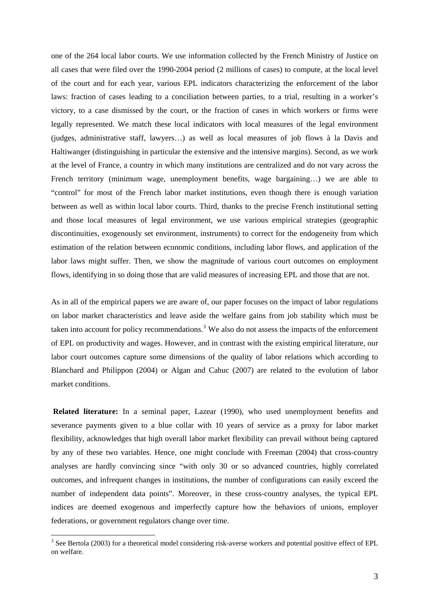one of the 264 local labor courts. We use information collected by the French Ministry of Justice on all cases that were filed over the 1990-2004 period (2 millions of cases) to compute, at the local level of the court and for each year, various EPL indicators characterizing the enforcement of the labor laws: fraction of cases leading to a conciliation between parties, to a trial, resulting in a worker's victory, to a case dismissed by the court, or the fraction of cases in which workers or firms were legally represented. We match these local indicators with local measures of the legal environment (judges, administrative staff, lawyers…) as well as local measures of job flows à la Davis and Haltiwanger (distinguishing in particular the extensive and the intensive margins). Second, as we work at the level of France, a country in which many institutions are centralized and do not vary across the French territory (minimum wage, unemployment benefits, wage bargaining…) we are able to "control" for most of the French labor market institutions, even though there is enough variation between as well as within local labor courts. Third, thanks to the precise French institutional setting and those local measures of legal environment, we use various empirical strategies (geographic discontinuities, exogenously set environment, instruments) to correct for the endogeneity from which estimation of the relation between economic conditions, including labor flows, and application of the labor laws might suffer. Then, we show the magnitude of various court outcomes on employment flows, identifying in so doing those that are valid measures of increasing EPL and those that are not.

As in all of the empirical papers we are aware of, our paper focuses on the impact of labor regulations on labor market characteristics and leave aside the welfare gains from job stability which must be taken into account for policy recommendations.<sup>[3](#page-3-0)</sup> We also do not assess the impacts of the enforcement of EPL on productivity and wages. However, and in contrast with the existing empirical literature, our labor court outcomes capture some dimensions of the quality of labor relations which according to Blanchard and Philippon (2004) or Algan and Cahuc (2007) are related to the evolution of labor market conditions.

**Related literature:** In a seminal paper, Lazear (1990), who used unemployment benefits and severance payments given to a blue collar with 10 years of service as a proxy for labor market flexibility, acknowledges that high overall labor market flexibility can prevail without being captured by any of these two variables. Hence, one might conclude with Freeman (2004) that cross-country analyses are hardly convincing since "with only 30 or so advanced countries, highly correlated outcomes, and infrequent changes in institutions, the number of configurations can easily exceed the number of independent data points". Moreover, in these cross-country analyses, the typical EPL indices are deemed exogenous and imperfectly capture how the behaviors of unions, employer federations, or government regulators change over time.

<span id="page-3-0"></span> $3$  See Bertola (2003) for a theoretical model considering risk-averse workers and potential positive effect of EPL on welfare.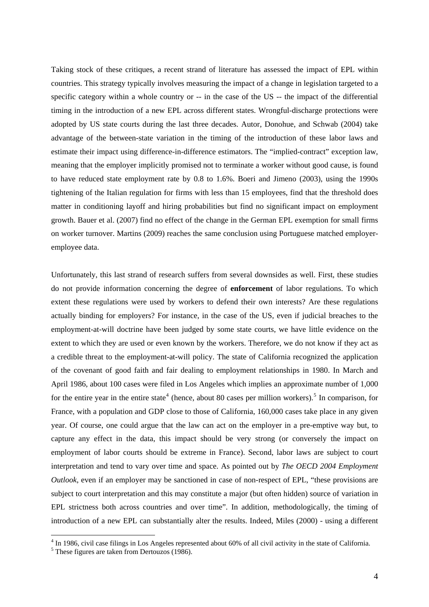<span id="page-4-0"></span>Taking stock of these critiques, a recent strand of literature has assessed the impact of EPL within countries. This strategy typically involves measuring the impact of a change in legislation targeted to a specific category within a whole country or -- in the case of the US -- the impact of the differential timing in the introduction of a new EPL across different states. Wrongful-discharge protections were adopted by US state courts during the last three decades. Autor, Donohue, and Schwab (2004) take advantage of the between-state variation in the timing of the introduction of these labor laws and estimate their impact using difference-in-difference estimators. The "implied-contract" exception law, meaning that the employer implicitly promised not to terminate a worker without good cause, is found to have reduced state employment rate by 0.8 to 1.6%. Boeri and Jimeno (2003), using the 1990s tightening of the Italian regulation for firms with less than 15 employees, find that the threshold does matter in conditioning layoff and hiring probabilities but find no significant impact on employment growth. Bauer et al. (2007) find no effect of the change in the German EPL exemption for small firms on worker turnover. Martins (2009) reaches the same conclusion using Portuguese matched employeremployee data.

Unfortunately, this last strand of research suffers from several downsides as well. First, these studies do not provide information concerning the degree of **enforcement** of labor regulations. To which extent these regulations were used by workers to defend their own interests? Are these regulations actually binding for employers? For instance, in the case of the US, even if judicial breaches to the employment-at-will doctrine have been judged by some state courts, we have little evidence on the extent to which they are used or even known by the workers. Therefore, we do not know if they act as a credible threat to the employment-at-will policy. The state of California recognized the application of the covenant of good faith and fair dealing to employment relationships in 1980. In March and April 1986, about 100 cases were filed in Los Angeles which implies an approximate number of 1,000 for the entire year in the entire state<sup>[4](#page-4-0)</sup> (hence, about 80 cases per million workers).<sup>[5](#page-4-0)</sup> In comparison, for France, with a population and GDP close to those of California, 160,000 cases take place in any given year. Of course, one could argue that the law can act on the employer in a pre-emptive way but, to capture any effect in the data, this impact should be very strong (or conversely the impact on employment of labor courts should be extreme in France). Second, labor laws are subject to court interpretation and tend to vary over time and space. As pointed out by *The OECD 2004 Employment Outlook*, even if an employer may be sanctioned in case of non-respect of EPL, "these provisions are subject to court interpretation and this may constitute a major (but often hidden) source of variation in EPL strictness both across countries and over time". In addition, methodologically, the timing of introduction of a new EPL can substantially alter the results. Indeed, Miles (2000) - using a different

<sup>&</sup>lt;sup>4</sup> In 1986, civil case filings in Los Angeles represented about 60% of all civil activity in the state of California.

<sup>&</sup>lt;sup>5</sup> These figures are taken from Dertouzos (1986).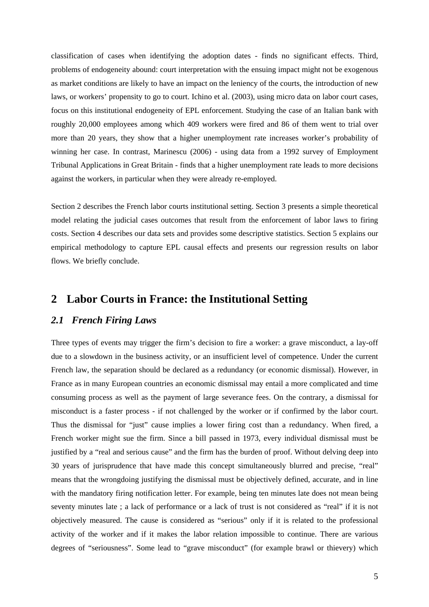classification of cases when identifying the adoption dates - finds no significant effects. Third, problems of endogeneity abound: court interpretation with the ensuing impact might not be exogenous as market conditions are likely to have an impact on the leniency of the courts, the introduction of new laws, or workers' propensity to go to court. Ichino et al. (2003), using micro data on labor court cases, focus on this institutional endogeneity of EPL enforcement. Studying the case of an Italian bank with roughly 20,000 employees among which 409 workers were fired and 86 of them went to trial over more than 20 years, they show that a higher unemployment rate increases worker's probability of winning her case. In contrast, Marinescu (2006) - using data from a 1992 survey of Employment Tribunal Applications in Great Britain - finds that a higher unemployment rate leads to more decisions against the workers, in particular when they were already re-employed.

Section 2 describes the French labor courts institutional setting. Section 3 presents a simple theoretical model relating the judicial cases outcomes that result from the enforcement of labor laws to firing costs. Section 4 describes our data sets and provides some descriptive statistics. Section 5 explains our empirical methodology to capture EPL causal effects and presents our regression results on labor flows. We briefly conclude.

# **2 Labor Courts in France: the Institutional Setting**

## *2.1 French Firing Laws*

Three types of events may trigger the firm's decision to fire a worker: a grave misconduct, a lay-off due to a slowdown in the business activity, or an insufficient level of competence. Under the current French law, the separation should be declared as a redundancy (or economic dismissal). However, in France as in many European countries an economic dismissal may entail a more complicated and time consuming process as well as the payment of large severance fees. On the contrary, a dismissal for misconduct is a faster process - if not challenged by the worker or if confirmed by the labor court. Thus the dismissal for "just" cause implies a lower firing cost than a redundancy. When fired, a French worker might sue the firm. Since a bill passed in 1973, every individual dismissal must be justified by a "real and serious cause" and the firm has the burden of proof. Without delving deep into 30 years of jurisprudence that have made this concept simultaneously blurred and precise, "real" means that the wrongdoing justifying the dismissal must be objectively defined, accurate, and in line with the mandatory firing notification letter. For example, being ten minutes late does not mean being seventy minutes late ; a lack of performance or a lack of trust is not considered as "real" if it is not objectively measured. The cause is considered as "serious" only if it is related to the professional activity of the worker and if it makes the labor relation impossible to continue. There are various degrees of "seriousness". Some lead to "grave misconduct" (for example brawl or thievery) which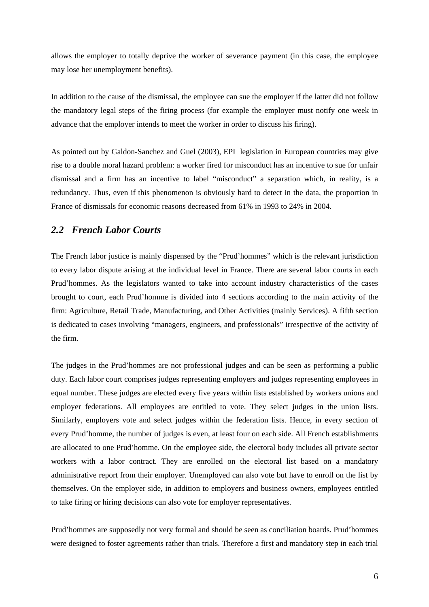allows the employer to totally deprive the worker of severance payment (in this case, the employee may lose her unemployment benefits).

In addition to the cause of the dismissal, the employee can sue the employer if the latter did not follow the mandatory legal steps of the firing process (for example the employer must notify one week in advance that the employer intends to meet the worker in order to discuss his firing).

As pointed out by Galdon-Sanchez and Guel (2003), EPL legislation in European countries may give rise to a double moral hazard problem: a worker fired for misconduct has an incentive to sue for unfair dismissal and a firm has an incentive to label "misconduct" a separation which, in reality, is a redundancy. Thus, even if this phenomenon is obviously hard to detect in the data, the proportion in France of dismissals for economic reasons decreased from 61% in 1993 to 24% in 2004.

## *2.2 French Labor Courts*

The French labor justice is mainly dispensed by the "Prud'hommes" which is the relevant jurisdiction to every labor dispute arising at the individual level in France. There are several labor courts in each Prud'hommes. As the legislators wanted to take into account industry characteristics of the cases brought to court, each Prud'homme is divided into 4 sections according to the main activity of the firm: Agriculture, Retail Trade, Manufacturing, and Other Activities (mainly Services). A fifth section is dedicated to cases involving "managers, engineers, and professionals" irrespective of the activity of the firm.

The judges in the Prud'hommes are not professional judges and can be seen as performing a public duty. Each labor court comprises judges representing employers and judges representing employees in equal number. These judges are elected every five years within lists established by workers unions and employer federations. All employees are entitled to vote. They select judges in the union lists. Similarly, employers vote and select judges within the federation lists. Hence, in every section of every Prud'homme, the number of judges is even, at least four on each side. All French establishments are allocated to one Prud'homme. On the employee side, the electoral body includes all private sector workers with a labor contract. They are enrolled on the electoral list based on a mandatory administrative report from their employer. Unemployed can also vote but have to enroll on the list by themselves. On the employer side, in addition to employers and business owners, employees entitled to take firing or hiring decisions can also vote for employer representatives.

Prud'hommes are supposedly not very formal and should be seen as conciliation boards. Prud'hommes were designed to foster agreements rather than trials. Therefore a first and mandatory step in each trial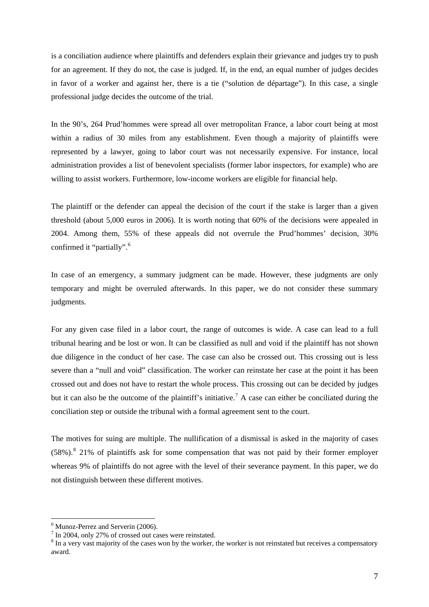<span id="page-7-0"></span>is a conciliation audience where plaintiffs and defenders explain their grievance and judges try to push for an agreement. If they do not, the case is judged. If, in the end, an equal number of judges decides in favor of a worker and against her, there is a tie ("solution de départage"). In this case, a single professional judge decides the outcome of the trial.

In the 90's, 264 Prud'hommes were spread all over metropolitan France, a labor court being at most within a radius of 30 miles from any establishment. Even though a majority of plaintiffs were represented by a lawyer, going to labor court was not necessarily expensive. For instance, local administration provides a list of benevolent specialists (former labor inspectors, for example) who are willing to assist workers. Furthermore, low-income workers are eligible for financial help.

The plaintiff or the defender can appeal the decision of the court if the stake is larger than a given threshold (about 5,000 euros in 2006). It is worth noting that 60% of the decisions were appealed in 2004. Among them, 55% of these appeals did not overrule the Prud'hommes' decision, 30% confirmed it "partially".<sup>[6](#page-7-0)</sup>

In case of an emergency, a summary judgment can be made. However, these judgments are only temporary and might be overruled afterwards. In this paper, we do not consider these summary judgments.

For any given case filed in a labor court, the range of outcomes is wide. A case can lead to a full tribunal hearing and be lost or won. It can be classified as null and void if the plaintiff has not shown due diligence in the conduct of her case. The case can also be crossed out. This crossing out is less severe than a "null and void" classification. The worker can reinstate her case at the point it has been crossed out and does not have to restart the whole process. This crossing out can be decided by judges but it can also be the outcome of the plaintiff's initiative.<sup>[7](#page-7-0)</sup> A case can either be conciliated during the conciliation step or outside the tribunal with a formal agreement sent to the court.

The motives for suing are multiple. The nullification of a dismissal is asked in the majority of cases  $(58\%)$  $(58\%)$  $(58\%)$ .<sup>8</sup> 21% of plaintiffs ask for some compensation that was not paid by their former employer whereas 9% of plaintiffs do not agree with the level of their severance payment. In this paper, we do not distinguish between these different motives.

<sup>&</sup>lt;sup>6</sup> Munoz-Perrez and Serverin (2006).

 $7$  In 2004, only 27% of crossed out cases were reinstated.

<sup>&</sup>lt;sup>8</sup> In a very vast majority of the cases won by the worker, the worker is not reinstated but receives a compensatory award.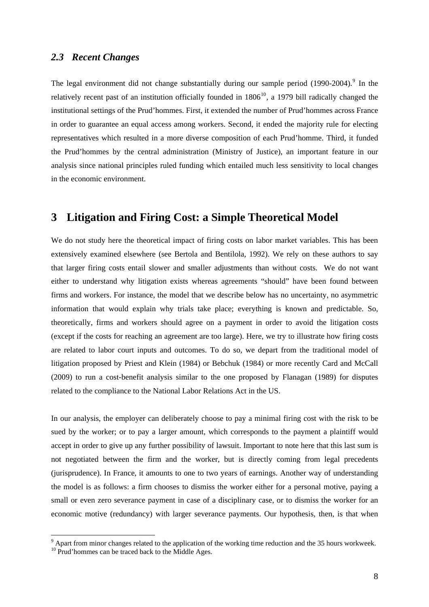## <span id="page-8-0"></span>*2.3 Recent Changes*

The legal environment did not change substantially during our sample period  $(1990-2004)$  $(1990-2004)$  $(1990-2004)$ .<sup>9</sup> In the relatively recent past of an institution officially founded in  $1806<sup>10</sup>$  $1806<sup>10</sup>$  $1806<sup>10</sup>$ , a 1979 bill radically changed the institutional settings of the Prud'hommes. First, it extended the number of Prud'hommes across France in order to guarantee an equal access among workers. Second, it ended the majority rule for electing representatives which resulted in a more diverse composition of each Prud'homme. Third, it funded the Prud'hommes by the central administration (Ministry of Justice), an important feature in our analysis since national principles ruled funding which entailed much less sensitivity to local changes in the economic environment.

# **3 Litigation and Firing Cost: a Simple Theoretical Model**

We do not study here the theoretical impact of firing costs on labor market variables. This has been extensively examined elsewhere (see Bertola and Bentilola, 1992). We rely on these authors to say that larger firing costs entail slower and smaller adjustments than without costs. We do not want either to understand why litigation exists whereas agreements "should" have been found between firms and workers. For instance, the model that we describe below has no uncertainty, no asymmetric information that would explain why trials take place; everything is known and predictable. So, theoretically, firms and workers should agree on a payment in order to avoid the litigation costs (except if the costs for reaching an agreement are too large). Here, we try to illustrate how firing costs are related to labor court inputs and outcomes. To do so, we depart from the traditional model of litigation proposed by Priest and Klein (1984) or Bebchuk (1984) or more recently Card and McCall (2009) to run a cost-benefit analysis similar to the one proposed by Flanagan (1989) for disputes related to the compliance to the National Labor Relations Act in the US.

In our analysis, the employer can deliberately choose to pay a minimal firing cost with the risk to be sued by the worker; or to pay a larger amount, which corresponds to the payment a plaintiff would accept in order to give up any further possibility of lawsuit. Important to note here that this last sum is not negotiated between the firm and the worker, but is directly coming from legal precedents (jurisprudence). In France, it amounts to one to two years of earnings. Another way of understanding the model is as follows: a firm chooses to dismiss the worker either for a personal motive, paying a small or even zero severance payment in case of a disciplinary case, or to dismiss the worker for an economic motive (redundancy) with larger severance payments. Our hypothesis, then, is that when

 $9^9$  Apart from minor changes related to the application of the working time reduction and the 35 hours workweek.

<sup>&</sup>lt;sup>10</sup> Prud'hommes can be traced back to the Middle Ages.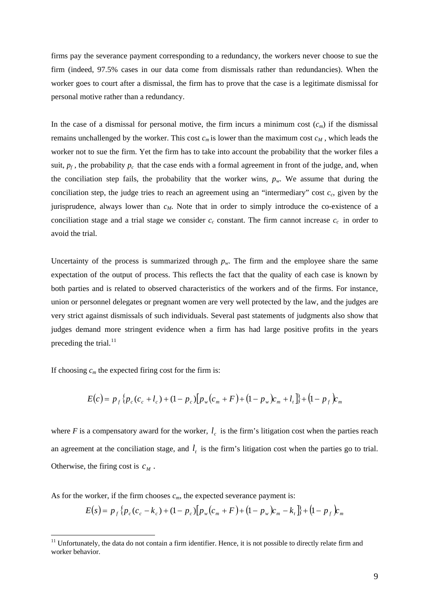<span id="page-9-0"></span>firms pay the severance payment corresponding to a redundancy, the workers never choose to sue the firm (indeed, 97.5% cases in our data come from dismissals rather than redundancies). When the worker goes to court after a dismissal, the firm has to prove that the case is a legitimate dismissal for personal motive rather than a redundancy.

In the case of a dismissal for personal motive, the firm incurs a minimum cost  $(c_m)$  if the dismissal remains unchallenged by the worker. This cost  $c_m$  is lower than the maximum cost  $c_M$ , which leads the worker not to sue the firm. Yet the firm has to take into account the probability that the worker files a suit,  $p_f$ , the probability  $p_c$  that the case ends with a formal agreement in front of the judge, and, when the conciliation step fails, the probability that the worker wins,  $p_w$ . We assume that during the conciliation step, the judge tries to reach an agreement using an "intermediary" cost  $c_c$ , given by the jurisprudence, always lower than  $c_M$ . Note that in order to simply introduce the co-existence of a conciliation stage and a trial stage we consider  $c_c$  constant. The firm cannot increase  $c_c$  in order to avoid the trial.

Uncertainty of the process is summarized through  $p_w$ . The firm and the employee share the same expectation of the output of process. This reflects the fact that the quality of each case is known by both parties and is related to observed characteristics of the workers and of the firms. For instance, union or personnel delegates or pregnant women are very well protected by the law, and the judges are very strict against dismissals of such individuals. Several past statements of judgments also show that judges demand more stringent evidence when a firm has had large positive profits in the years preceding the trial. $^{11}$  $^{11}$  $^{11}$ 

If choosing  $c_m$  the expected firing cost for the firm is:

 $\overline{a}$ 

$$
E(c) = p_f \{p_c (c_c + l_c) + (1 - p_c) [p_w (c_m + F) + (1 - p_w) c_m + l_t] \} + (1 - p_f) c_m
$$

where  $F$  is a compensatory award for the worker,  $l_c$  is the firm's litigation cost when the parties reach an agreement at the conciliation stage, and  $l_t$  is the firm's litigation cost when the parties go to trial. Otherwise, the firing cost is  $c_M$ .

As for the worker, if the firm chooses  $c_m$ , the expected severance payment is:

$$
E(s) = p_f \{p_c (c_c - k_c) + (1 - p_c) [p_w (c_m + F) + (1 - p_w) c_m - k_t] \} + (1 - p_f) c_m
$$

 $11$  Unfortunately, the data do not contain a firm identifier. Hence, it is not possible to directly relate firm and worker behavior.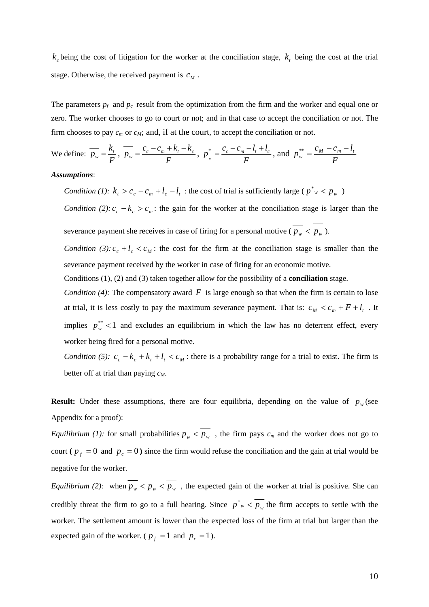$k_c$  being the cost of litigation for the worker at the conciliation stage,  $k_t$  being the cost at the trial stage. Otherwise, the received payment is  $c_M$ .

The parameters  $p_f$  and  $p_c$  result from the optimization from the firm and the worker and equal one or zero. The worker chooses to go to court or not; and in that case to accept the conciliation or not. The firm chooses to pay  $c_m$  or  $c_M$ ; and, if at the court, to accept the conciliation or not.

We define: 
$$
\overline{p_w} = \frac{k_t}{F}
$$
,  $\overline{p_w} = \frac{c_c - c_m + k_t - k_c}{F}$ ,  $p_w^* = \frac{c_c - c_m - l_t + l_c}{F}$ , and  $p_w^{**} = \frac{c_M - c_m - l_t}{F}$ 

#### *Assumptions*:

*Condition (1):*  $k_t > c_c - c_m + l_c - l_t$ : the cost of trial is sufficiently large ( $p^*_{w} < \overline{p_w}$ )

*Condition (2):*  $c_c - k_c > c_m$ : the gain for the worker at the conciliation stage is larger than the severance payment she receives in case of firing for a personal motive ( $p_w < p_w$ ).

*Condition (3):*  $c_c + l_c < c_M$ : the cost for the firm at the conciliation stage is smaller than the severance payment received by the worker in case of firing for an economic motive.

Conditions (1), (2) and (3) taken together allow for the possibility of a **conciliation** stage.

*Condition (4):* The compensatory award  $F$  is large enough so that when the firm is certain to lose at trial, it is less costly to pay the maximum severance payment. That is:  $c_M < c_m + F + l_t$ . It implies  $p_w^*$  < 1 and excludes an equilibrium in which the law has no deterrent effect, every worker being fired for a personal motive.

*Condition (5):*  $c_c - k_c + k_t + l_t < c_M$ : there is a probability range for a trial to exist. The firm is better off at trial than paying *cM*.

**Result:** Under these assumptions, there are four equilibria, depending on the value of  $p_w$  (see Appendix for a proof):

*Equilibrium (1):* for small probabilities  $p_w < \overline{p_w}$ , the firm pays  $c_m$  and the worker does not go to court ( $p_f = 0$  and  $p_c = 0$ ) since the firm would refuse the conciliation and the gain at trial would be negative for the worker.

*Equilibrium (2):* when  $\frac{1}{p_w}$  <  $p_w$  <  $\frac{1}{p_w}$ , the expected gain of the worker at trial is positive. She can credibly threat the firm to go to a full hearing. Since  $p^*_{w} < \overline{p_w}$  the firm accepts to settle with the worker. The settlement amount is lower than the expected loss of the firm at trial but larger than the expected gain of the worker. ( $p_f = 1$  and  $p_c = 1$ ).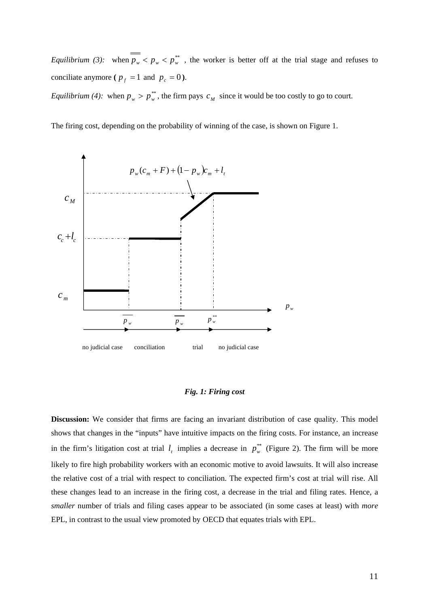*Equilibrium (3):* when  $p_w < p_w < p_w^*$ , the worker is better off at the trial stage and refuses to conciliate anymore ( $p_f = 1$  and  $p_c = 0$ ).

*Equilibrium (4):* when  $p_w > p_w^*$ , the firm pays  $c_M$  since it would be too costly to go to court.

The firing cost, depending on the probability of winning of the case, is shown on Figure 1.



#### *Fig. 1: Firing cost*

**Discussion:** We consider that firms are facing an invariant distribution of case quality. This model shows that changes in the "inputs" have intuitive impacts on the firing costs. For instance, an increase in the firm's litigation cost at trial  $l_t$  implies a decrease in  $p_w^*$  (Figure 2). The firm will be more likely to fire high probability workers with an economic motive to avoid lawsuits. It will also increase the relative cost of a trial with respect to conciliation. The expected firm's cost at trial will rise. All these changes lead to an increase in the firing cost, a decrease in the trial and filing rates. Hence, a *smaller* number of trials and filing cases appear to be associated (in some cases at least) with *more* EPL, in contrast to the usual view promoted by OECD that equates trials with EPL.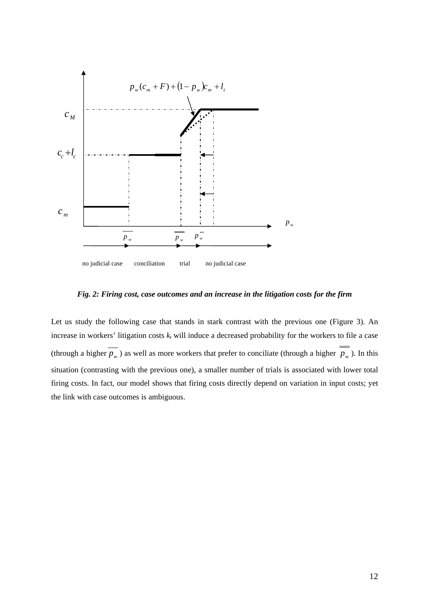

*Fig. 2: Firing cost, case outcomes and an increase in the litigation costs for the firm* 

Let us study the following case that stands in stark contrast with the previous one (Figure 3). An increase in workers' litigation costs  $k_t$  will induce a decreased probability for the workers to file a case (through a higher  $\overline{p_w}$ ) as well as more workers that prefer to conciliate (through a higher  $\overline{p_w}$ ). In this situation (contrasting with the previous one), a smaller number of trials is associated with lower total firing costs. In fact, our model shows that firing costs directly depend on variation in input costs; yet the link with case outcomes is ambiguous.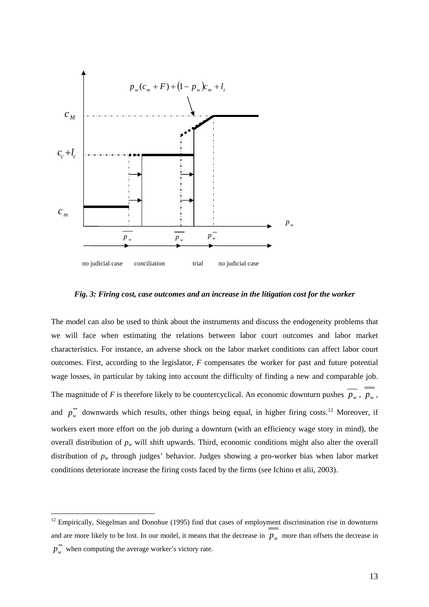<span id="page-13-0"></span>

*Fig. 3: Firing cost, case outcomes and an increase in the litigation cost for the worker* 

The model can also be used to think about the instruments and discuss the endogeneity problems that we will face when estimating the relations between labor court outcomes and labor market characteristics. For instance, an adverse shock on the labor market conditions can affect labor court outcomes. First, according to the legislator, *F* compensates the worker for past and future potential wage losses, in particular by taking into account the difficulty of finding a new and comparable job. The magnitude of *F* is therefore likely to be countercyclical. An economic downturn pushes  $\overline{p_w}$ ,  $p_w$ , and  $p_w^{**}$  downwards which results, other things being equal, in higher firing costs.<sup>[12](#page-13-0)</sup> Moreover, if workers exert more effort on the job during a downturn (with an efficiency wage story in mind), the overall distribution of  $p_w$  will shift upwards. Third, economic conditions might also alter the overall distribution of *pw* through judges' behavior. Judges showing a pro-worker bias when labor market conditions deteriorate increase the firing costs faced by the firms (see Ichino et alii, 2003).

 $12$  Empirically, Siegelman and Donohue (1995) find that cases of employment discrimination rise in downturns and are more likely to be lost. In our model, it means that the decrease in  $p_w$  more than offsets the decrease in  $p_w^{**}$  when computing the average worker's victory rate.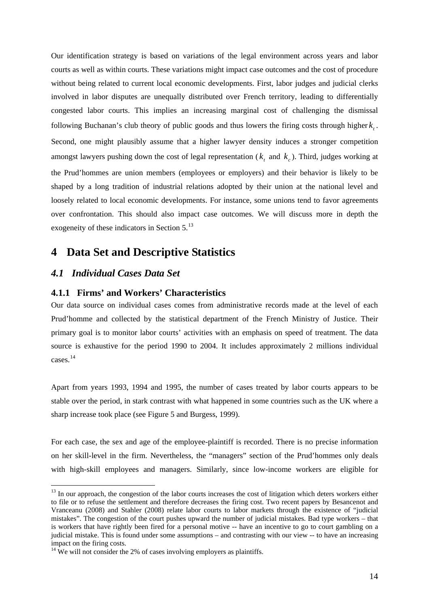<span id="page-14-0"></span>Our identification strategy is based on variations of the legal environment across years and labor courts as well as within courts. These variations might impact case outcomes and the cost of procedure without being related to current local economic developments. First, labor judges and judicial clerks involved in labor disputes are unequally distributed over French territory, leading to differentially congested labor courts. This implies an increasing marginal cost of challenging the dismissal following Buchanan's club theory of public goods and thus lowers the firing costs through higher  $k_t$ . Second, one might plausibly assume that a higher lawyer density induces a stronger competition amongst lawyers pushing down the cost of legal representation ( $k_t$  and  $k_c$ ). Third, judges working at the Prud'hommes are union members (employees or employers) and their behavior is likely to be shaped by a long tradition of industrial relations adopted by their union at the national level and loosely related to local economic developments. For instance, some unions tend to favor agreements over confrontation. This should also impact case outcomes. We will discuss more in depth the exogeneity of these indicators in Section 5.<sup>[13](#page-14-0)</sup>

# **4 Data Set and Descriptive Statistics**

# *4.1 Individual Cases Data Set*

 $\overline{a}$ 

#### **4.1.1 Firms' and Workers' Characteristics**

Our data source on individual cases comes from administrative records made at the level of each Prud'homme and collected by the statistical department of the French Ministry of Justice. Their primary goal is to monitor labor courts' activities with an emphasis on speed of treatment. The data source is exhaustive for the period 1990 to 2004. It includes approximately 2 millions individual cases.[14](#page-14-0)

Apart from years 1993, 1994 and 1995, the number of cases treated by labor courts appears to be stable over the period, in stark contrast with what happened in some countries such as the UK where a sharp increase took place (see Figure 5 and Burgess, 1999).

For each case, the sex and age of the employee-plaintiff is recorded. There is no precise information on her skill-level in the firm. Nevertheless, the "managers" section of the Prud'hommes only deals with high-skill employees and managers. Similarly, since low-income workers are eligible for

 $13$  In our approach, the congestion of the labor courts increases the cost of litigation which deters workers either to file or to refuse the settlement and therefore decreases the firing cost. Two recent papers by Besancenot and Vranceanu (2008) and Stahler (2008) relate labor courts to labor markets through the existence of "judicial mistakes". The congestion of the court pushes upward the number of judicial mistakes. Bad type workers – that is workers that have rightly been fired for a personal motive -- have an incentive to go to court gambling on a judicial mistake. This is found under some assumptions – and contrasting with our view -- to have an increasing impact on the firing costs.

 $14$  We will not consider the 2% of cases involving employers as plaintiffs.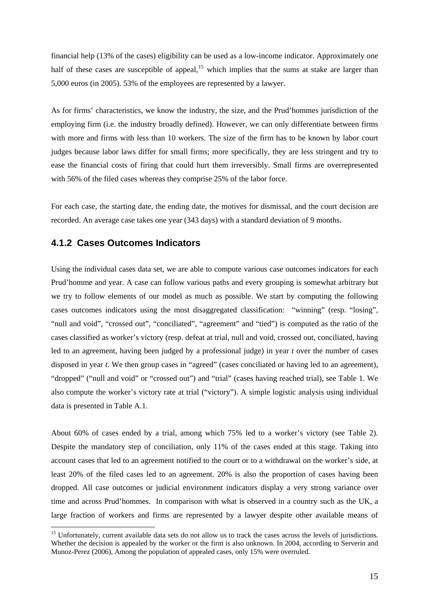<span id="page-15-0"></span>financial help (13% of the cases) eligibility can be used as a low-income indicator. Approximately one half of these cases are susceptible of appeal,<sup>[15](#page-15-0)</sup> which implies that the sums at stake are larger than 5,000 euros (in 2005). 53% of the employees are represented by a lawyer.

As for firms' characteristics, we know the industry, the size, and the Prud'hommes jurisdiction of the employing firm (i.e. the industry broadly defined). However, we can only differentiate between firms with more and firms with less than 10 workers. The size of the firm has to be known by labor court judges because labor laws differ for small firms; more specifically, they are less stringent and try to ease the financial costs of firing that could hurt them irreversibly. Small firms are overrepresented with 56% of the filed cases whereas they comprise 25% of the labor force.

For each case, the starting date, the ending date, the motives for dismissal, and the court decision are recorded. An average case takes one year (343 days) with a standard deviation of 9 months.

### **4.1.2 Cases Outcomes Indicators**

 $\overline{a}$ 

Using the individual cases data set, we are able to compute various case outcomes indicators for each Prud'homme and year. A case can follow various paths and every grouping is somewhat arbitrary but we try to follow elements of our model as much as possible. We start by computing the following cases outcomes indicators using the most disaggregated classification: "winning" (resp. "losing", "null and void", "crossed out", "conciliated", "agreement" and "tied") is computed as the ratio of the cases classified as worker's victory (resp. defeat at trial, null and void, crossed out, conciliated, having led to an agreement, having been judged by a professional judge) in year *t* over the number of cases disposed in year *t*. We then group cases in "agreed" (cases conciliated or having led to an agreement), "dropped" ("null and void" or "crossed out") and "trial" (cases having reached trial), see Table 1. We also compute the worker's victory rate at trial ("victory"). A simple logistic analysis using individual data is presented in Table A.1.

About 60% of cases ended by a trial, among which 75% led to a worker's victory (see Table 2). Despite the mandatory step of conciliation, only 11% of the cases ended at this stage. Taking into account cases that led to an agreement notified to the court or to a withdrawal on the worker's side, at least 20% of the filed cases led to an agreement. 20% is also the proportion of cases having been dropped. All case outcomes or judicial environment indicators display a very strong variance over time and across Prud'hommes. In comparison with what is observed in a country such as the UK, a large fraction of workers and firms are represented by a lawyer despite other available means of

<sup>&</sup>lt;sup>15</sup> Unfortunately, current available data sets do not allow us to track the cases across the levels of jurisdictions. Whether the decision is appealed by the worker or the firm is also unknown. In 2004, according to Serverin and Munoz-Perez (2006), Among the population of appealed cases, only 15% were overruled.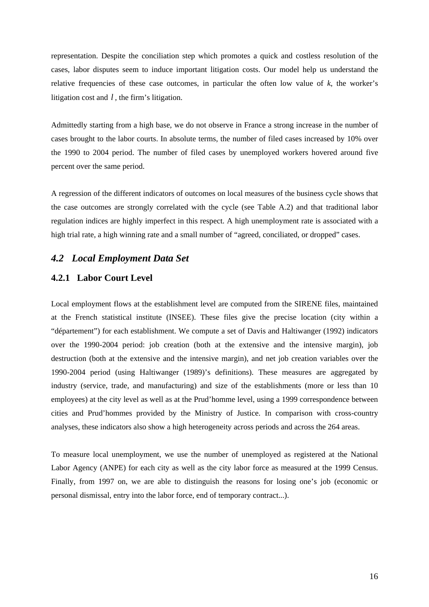representation. Despite the conciliation step which promotes a quick and costless resolution of the cases, labor disputes seem to induce important litigation costs. Our model help us understand the relative frequencies of these case outcomes, in particular the often low value of  $k$ , the worker's litigation cost and *l ,* the firm's litigation.

Admittedly starting from a high base, we do not observe in France a strong increase in the number of cases brought to the labor courts. In absolute terms, the number of filed cases increased by 10% over the 1990 to 2004 period. The number of filed cases by unemployed workers hovered around five percent over the same period.

A regression of the different indicators of outcomes on local measures of the business cycle shows that the case outcomes are strongly correlated with the cycle (see Table A.2) and that traditional labor regulation indices are highly imperfect in this respect. A high unemployment rate is associated with a high trial rate, a high winning rate and a small number of "agreed, conciliated, or dropped" cases.

# *4.2 Local Employment Data Set*

#### **4.2.1 Labor Court Level**

Local employment flows at the establishment level are computed from the SIRENE files, maintained at the French statistical institute (INSEE). These files give the precise location (city within a "département") for each establishment. We compute a set of Davis and Haltiwanger (1992) indicators over the 1990-2004 period: job creation (both at the extensive and the intensive margin), job destruction (both at the extensive and the intensive margin), and net job creation variables over the 1990-2004 period (using Haltiwanger (1989)'s definitions). These measures are aggregated by industry (service, trade, and manufacturing) and size of the establishments (more or less than 10 employees) at the city level as well as at the Prud'homme level, using a 1999 correspondence between cities and Prud'hommes provided by the Ministry of Justice. In comparison with cross-country analyses, these indicators also show a high heterogeneity across periods and across the 264 areas.

To measure local unemployment, we use the number of unemployed as registered at the National Labor Agency (ANPE) for each city as well as the city labor force as measured at the 1999 Census. Finally, from 1997 on, we are able to distinguish the reasons for losing one's job (economic or personal dismissal, entry into the labor force, end of temporary contract...).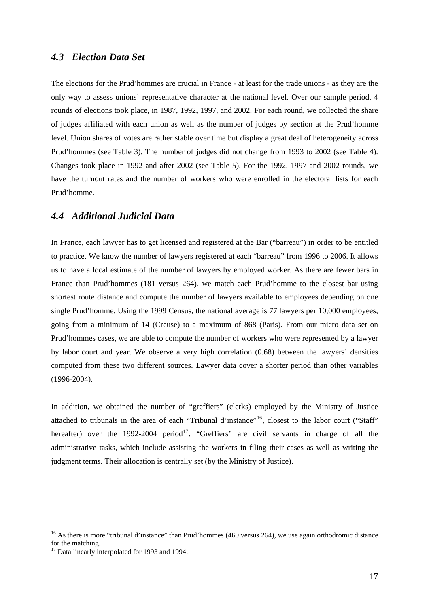### <span id="page-17-0"></span>*4.3 Election Data Set*

The elections for the Prud'hommes are crucial in France - at least for the trade unions - as they are the only way to assess unions' representative character at the national level. Over our sample period, 4 rounds of elections took place, in 1987, 1992, 1997, and 2002. For each round, we collected the share of judges affiliated with each union as well as the number of judges by section at the Prud'homme level. Union shares of votes are rather stable over time but display a great deal of heterogeneity across Prud'hommes (see Table 3). The number of judges did not change from 1993 to 2002 (see Table 4). Changes took place in 1992 and after 2002 (see Table 5). For the 1992, 1997 and 2002 rounds, we have the turnout rates and the number of workers who were enrolled in the electoral lists for each Prud'homme.

# *4.4 Additional Judicial Data*

In France, each lawyer has to get licensed and registered at the Bar ("barreau") in order to be entitled to practice. We know the number of lawyers registered at each "barreau" from 1996 to 2006. It allows us to have a local estimate of the number of lawyers by employed worker. As there are fewer bars in France than Prud'hommes (181 versus 264), we match each Prud'homme to the closest bar using shortest route distance and compute the number of lawyers available to employees depending on one single Prud'homme. Using the 1999 Census, the national average is 77 lawyers per 10,000 employees, going from a minimum of 14 (Creuse) to a maximum of 868 (Paris). From our micro data set on Prud'hommes cases, we are able to compute the number of workers who were represented by a lawyer by labor court and year. We observe a very high correlation (0.68) between the lawyers' densities computed from these two different sources. Lawyer data cover a shorter period than other variables (1996-2004).

In addition, we obtained the number of "greffiers" (clerks) employed by the Ministry of Justice attached to tribunals in the area of each "Tribunal d'instance"<sup>[16](#page-17-0)</sup>, closest to the labor court ("Staff" hereafter) over the 1992-2004 period<sup>[17](#page-17-0)</sup>. "Greffiers" are civil servants in charge of all the administrative tasks, which include assisting the workers in filing their cases as well as writing the judgment terms. Their allocation is centrally set (by the Ministry of Justice).

<sup>&</sup>lt;sup>16</sup> As there is more "tribunal d'instance" than Prud'hommes (460 versus 264), we use again orthodromic distance for the matching.

 $17$  Data linearly interpolated for 1993 and 1994.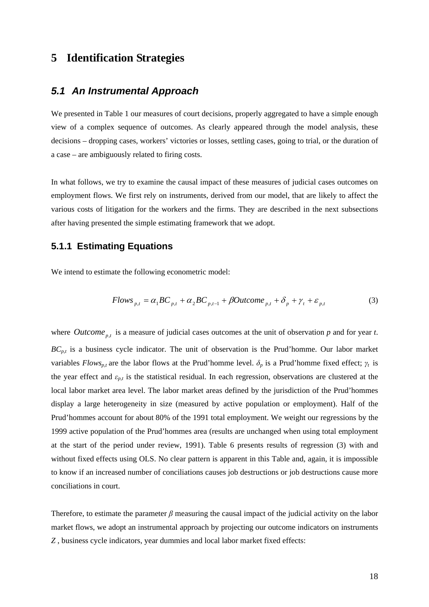# **5 Identification Strategies**

# *5.1 An Instrumental Approach*

We presented in Table 1 our measures of court decisions, properly aggregated to have a simple enough view of a complex sequence of outcomes. As clearly appeared through the model analysis, these decisions – dropping cases, workers' victories or losses, settling cases, going to trial, or the duration of a case – are ambiguously related to firing costs.

In what follows, we try to examine the causal impact of these measures of judicial cases outcomes on employment flows. We first rely on instruments, derived from our model, that are likely to affect the various costs of litigation for the workers and the firms. They are described in the next subsections after having presented the simple estimating framework that we adopt.

#### **5.1.1 Estimating Equations**

We intend to estimate the following econometric model:

$$
Flows_{p,t} = \alpha_1 BC_{p,t} + \alpha_2 BC_{p,t-1} + \beta Outcome_{p,t} + \delta_p + \gamma_t + \varepsilon_{p,t}
$$
(3)

where *Outcome*  $_{p,t}$  is a measure of judicial cases outcomes at the unit of observation *p* and for year *t*. *BCp,t* is a business cycle indicator. The unit of observation is the Prud'homme. Our labor market variables *Flows<sub>p,t</sub>* are the labor flows at the Prud'homme level.  $\delta_p$  is a Prud'homme fixed effect;  $\gamma_t$  is the year effect and *εp,t* is the statistical residual. In each regression, observations are clustered at the local labor market area level. The labor market areas defined by the jurisdiction of the Prud'hommes display a large heterogeneity in size (measured by active population or employment). Half of the Prud'hommes account for about 80% of the 1991 total employment. We weight our regressions by the 1999 active population of the Prud'hommes area (results are unchanged when using total employment at the start of the period under review, 1991). Table 6 presents results of regression (3) with and without fixed effects using OLS. No clear pattern is apparent in this Table and, again, it is impossible to know if an increased number of conciliations causes job destructions or job destructions cause more conciliations in court.

Therefore, to estimate the parameter  $\beta$  measuring the causal impact of the judicial activity on the labor market flows, we adopt an instrumental approach by projecting our outcome indicators on instruments *Z* , business cycle indicators, year dummies and local labor market fixed effects: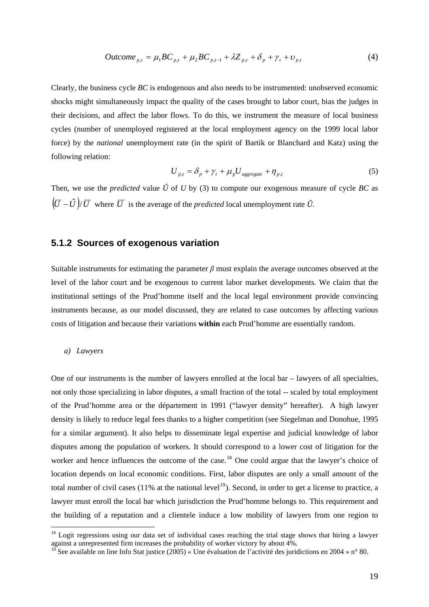$$
Outcome_{p,t} = \mu_1 BC_{p,t} + \mu_2 BC_{p,t-1} + \lambda Z_{p,t} + \delta_p + \gamma_t + \nu_{p,t}
$$
 (4)

<span id="page-19-0"></span>Clearly, the business cycle *BC* is endogenous and also needs to be instrumented: unobserved economic shocks might simultaneously impact the quality of the cases brought to labor court, bias the judges in their decisions, and affect the labor flows. To do this, we instrument the measure of local business cycles (number of unemployed registered at the local employment agency on the 1999 local labor force) by the *national* unemployment rate (in the spirit of Bartik or Blanchard and Katz) using the following relation:

$$
U_{p,t} = \delta_p + \gamma_t + \mu_p U_{\text{aggregate}} + \eta_{p,t} \tag{5}
$$

Then, we use the *predicted* value  $\hat{U}$  of *U* by (3) to compute our exogenous measure of cycle *BC* as  $(\overline{U} - \hat{U})/\overline{U}$  where  $\overline{U}$  is the average of the *predicted* local unemployment rate  $\hat{U}$ .

## **5.1.2 Sources of exogenous variation**

Suitable instruments for estimating the parameter *β* must explain the average outcomes observed at the level of the labor court and be exogenous to current labor market developments. We claim that the institutional settings of the Prud'homme itself and the local legal environment provide convincing instruments because, as our model discussed, they are related to case outcomes by affecting various costs of litigation and because their variations **within** each Prud'homme are essentially random.

#### *a) Lawyers*

 $\overline{a}$ 

One of our instruments is the number of lawyers enrolled at the local bar – lawyers of all specialties, not only those specializing in labor disputes, a small fraction of the total -- scaled by total employment of the Prud'homme area or the département in 1991 ("lawyer density" hereafter). A high lawyer density is likely to reduce legal fees thanks to a higher competition (see Siegelman and Donohue, 1995 for a similar argument). It also helps to disseminate legal expertise and judicial knowledge of labor disputes among the population of workers. It should correspond to a lower cost of litigation for the worker and hence influences the outcome of the case.<sup>[18](#page-19-0)</sup> One could argue that the lawyer's choice of location depends on local economic conditions. First, labor disputes are only a small amount of the total number of civil cases (11% at the national level<sup>[19](#page-19-0)</sup>). Second, in order to get a license to practice, a lawyer must enroll the local bar which jurisdiction the Prud'homme belongs to. This requirement and the building of a reputation and a clientele induce a low mobility of lawyers from one region to

<sup>&</sup>lt;sup>18</sup> Logit regressions using our data set of individual cases reaching the trial stage shows that hiring a lawyer against a unrepresented firm increases the probability of worker victory by about 4%.

See available on line Info Stat justice (2005) « Une évaluation de l'activité des juridictions en 2004 » n° 80.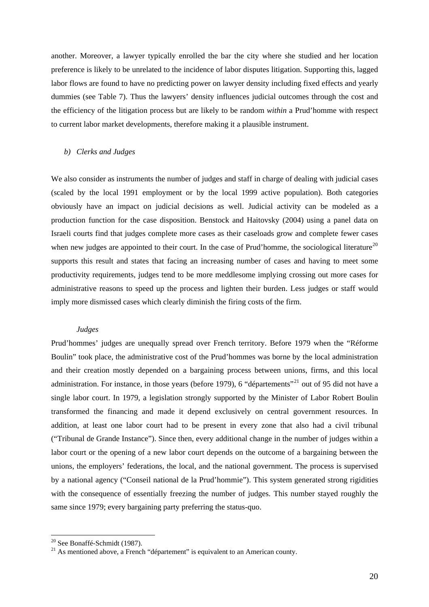<span id="page-20-0"></span>another. Moreover, a lawyer typically enrolled the bar the city where she studied and her location preference is likely to be unrelated to the incidence of labor disputes litigation. Supporting this, lagged labor flows are found to have no predicting power on lawyer density including fixed effects and yearly dummies (see Table 7). Thus the lawyers' density influences judicial outcomes through the cost and the efficiency of the litigation process but are likely to be random *within* a Prud'homme with respect to current labor market developments, therefore making it a plausible instrument.

#### *b) Clerks and Judges*

We also consider as instruments the number of judges and staff in charge of dealing with judicial cases (scaled by the local 1991 employment or by the local 1999 active population). Both categories obviously have an impact on judicial decisions as well. Judicial activity can be modeled as a production function for the case disposition. Benstock and Haitovsky (2004) using a panel data on Israeli courts find that judges complete more cases as their caseloads grow and complete fewer cases when new judges are appointed to their court. In the case of Prud'homme, the sociological literature<sup>[20](#page-20-0)</sup> supports this result and states that facing an increasing number of cases and having to meet some productivity requirements, judges tend to be more meddlesome implying crossing out more cases for administrative reasons to speed up the process and lighten their burden. Less judges or staff would imply more dismissed cases which clearly diminish the firing costs of the firm.

#### *Judges*

Prud'hommes' judges are unequally spread over French territory. Before 1979 when the "Réforme Boulin" took place, the administrative cost of the Prud'hommes was borne by the local administration and their creation mostly depended on a bargaining process between unions, firms, and this local administration. For instance, in those years (before 1979), 6 "départements"<sup>[21](#page-20-0)</sup> out of 95 did not have a single labor court. In 1979, a legislation strongly supported by the Minister of Labor Robert Boulin transformed the financing and made it depend exclusively on central government resources. In addition, at least one labor court had to be present in every zone that also had a civil tribunal ("Tribunal de Grande Instance"). Since then, every additional change in the number of judges within a labor court or the opening of a new labor court depends on the outcome of a bargaining between the unions, the employers' federations, the local, and the national government. The process is supervised by a national agency ("Conseil national de la Prud'hommie"). This system generated strong rigidities with the consequence of essentially freezing the number of judges. This number stayed roughly the same since 1979; every bargaining party preferring the status-quo.

<sup>&</sup>lt;sup>20</sup> See Bonaffé-Schmidt (1987).

 $21$  As mentioned above, a French "département" is equivalent to an American county.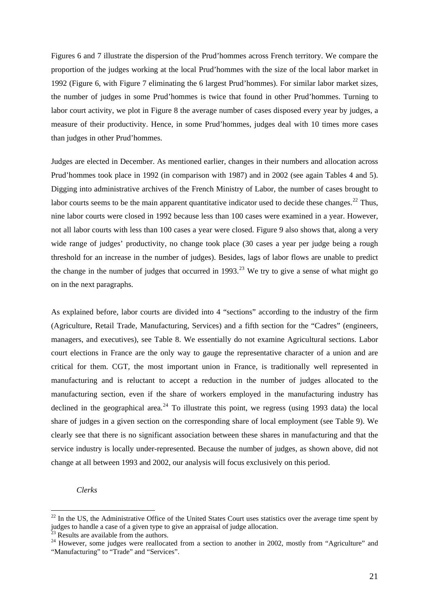<span id="page-21-0"></span>Figures 6 and 7 illustrate the dispersion of the Prud'hommes across French territory. We compare the proportion of the judges working at the local Prud'hommes with the size of the local labor market in 1992 (Figure 6, with Figure 7 eliminating the 6 largest Prud'hommes). For similar labor market sizes, the number of judges in some Prud'hommes is twice that found in other Prud'hommes. Turning to labor court activity, we plot in Figure 8 the average number of cases disposed every year by judges, a measure of their productivity. Hence, in some Prud'hommes, judges deal with 10 times more cases than judges in other Prud'hommes.

Judges are elected in December. As mentioned earlier, changes in their numbers and allocation across Prud'hommes took place in 1992 (in comparison with 1987) and in 2002 (see again Tables 4 and 5). Digging into administrative archives of the French Ministry of Labor, the number of cases brought to labor courts seems to be the main apparent quantitative indicator used to decide these changes.<sup>[22](#page-21-0)</sup> Thus, nine labor courts were closed in 1992 because less than 100 cases were examined in a year. However, not all labor courts with less than 100 cases a year were closed. Figure 9 also shows that, along a very wide range of judges' productivity, no change took place (30 cases a year per judge being a rough threshold for an increase in the number of judges). Besides, lags of labor flows are unable to predict the change in the number of judges that occurred in 1993.<sup>[23](#page-21-0)</sup> We try to give a sense of what might go on in the next paragraphs.

As explained before, labor courts are divided into 4 "sections" according to the industry of the firm (Agriculture, Retail Trade, Manufacturing, Services) and a fifth section for the "Cadres" (engineers, managers, and executives), see Table 8. We essentially do not examine Agricultural sections. Labor court elections in France are the only way to gauge the representative character of a union and are critical for them. CGT, the most important union in France, is traditionally well represented in manufacturing and is reluctant to accept a reduction in the number of judges allocated to the manufacturing section, even if the share of workers employed in the manufacturing industry has declined in the geographical area.<sup>[24](#page-21-0)</sup> To illustrate this point, we regress (using 1993 data) the local share of judges in a given section on the corresponding share of local employment (see Table 9). We clearly see that there is no significant association between these shares in manufacturing and that the service industry is locally under-represented. Because the number of judges, as shown above, did not change at all between 1993 and 2002, our analysis will focus exclusively on this period.

#### *Clerks*

 $^{22}$  In the US, the Administrative Office of the United States Court uses statistics over the average time spent by judges to handle a case of a given type to give an appraisal of judge allocation.

 $3^3$  Results are available from the authors.

<sup>&</sup>lt;sup>24</sup> However, some judges were reallocated from a section to another in 2002, mostly from "Agriculture" and "Manufacturing" to "Trade" and "Services".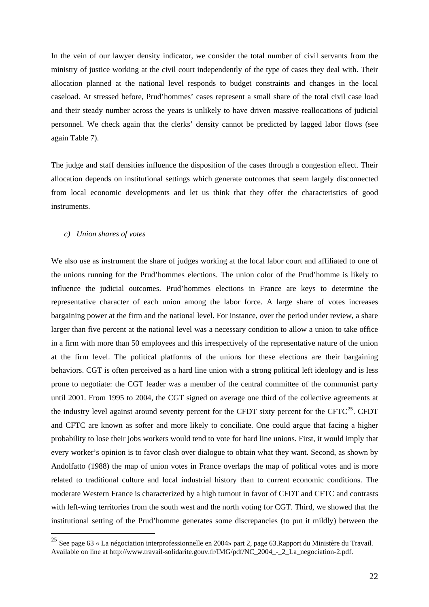<span id="page-22-0"></span>In the vein of our lawyer density indicator, we consider the total number of civil servants from the ministry of justice working at the civil court independently of the type of cases they deal with. Their allocation planned at the national level responds to budget constraints and changes in the local caseload. At stressed before, Prud'hommes' cases represent a small share of the total civil case load and their steady number across the years is unlikely to have driven massive reallocations of judicial personnel. We check again that the clerks' density cannot be predicted by lagged labor flows (see again Table 7).

The judge and staff densities influence the disposition of the cases through a congestion effect. Their allocation depends on institutional settings which generate outcomes that seem largely disconnected from local economic developments and let us think that they offer the characteristics of good instruments.

#### *c) Union shares of votes*

 $\overline{a}$ 

We also use as instrument the share of judges working at the local labor court and affiliated to one of the unions running for the Prud'hommes elections. The union color of the Prud'homme is likely to influence the judicial outcomes. Prud'hommes elections in France are keys to determine the representative character of each union among the labor force. A large share of votes increases bargaining power at the firm and the national level. For instance, over the period under review, a share larger than five percent at the national level was a necessary condition to allow a union to take office in a firm with more than 50 employees and this irrespectively of the representative nature of the union at the firm level. The political platforms of the unions for these elections are their bargaining behaviors. CGT is often perceived as a hard line union with a strong political left ideology and is less prone to negotiate: the CGT leader was a member of the central committee of the communist party until 2001. From 1995 to 2004, the CGT signed on average one third of the collective agreements at the industry level against around seventy percent for the CFDT sixty percent for the CFTC<sup>[25](#page-22-0)</sup>. CFDT and CFTC are known as softer and more likely to conciliate. One could argue that facing a higher probability to lose their jobs workers would tend to vote for hard line unions. First, it would imply that every worker's opinion is to favor clash over dialogue to obtain what they want. Second, as shown by Andolfatto (1988) the map of union votes in France overlaps the map of political votes and is more related to traditional culture and local industrial history than to current economic conditions. The moderate Western France is characterized by a high turnout in favor of CFDT and CFTC and contrasts with left-wing territories from the south west and the north voting for CGT. Third, we showed that the institutional setting of the Prud'homme generates some discrepancies (to put it mildly) between the

<sup>&</sup>lt;sup>25</sup> See page 63 « La négociation interprofessionnelle en 2004» part 2, page 63. Rapport du Ministère du Travail. Available on line at http://www.travail-solidarite.gouv.fr/IMG/pdf/NC\_2004\_-\_2\_La\_negociation-2.pdf.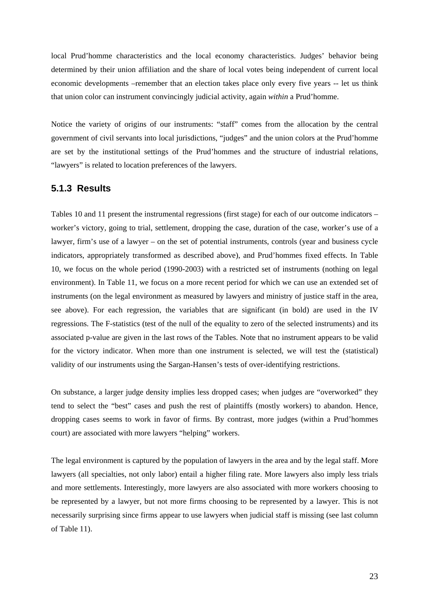local Prud'homme characteristics and the local economy characteristics. Judges' behavior being determined by their union affiliation and the share of local votes being independent of current local economic developments –remember that an election takes place only every five years -- let us think that union color can instrument convincingly judicial activity, again *within* a Prud'homme.

Notice the variety of origins of our instruments: "staff" comes from the allocation by the central government of civil servants into local jurisdictions, "judges" and the union colors at the Prud'homme are set by the institutional settings of the Prud'hommes and the structure of industrial relations, "lawyers" is related to location preferences of the lawyers.

### **5.1.3 Results**

Tables 10 and 11 present the instrumental regressions (first stage) for each of our outcome indicators – worker's victory, going to trial, settlement, dropping the case, duration of the case, worker's use of a lawyer, firm's use of a lawyer – on the set of potential instruments, controls (year and business cycle indicators, appropriately transformed as described above), and Prud'hommes fixed effects. In Table 10, we focus on the whole period (1990-2003) with a restricted set of instruments (nothing on legal environment). In Table 11, we focus on a more recent period for which we can use an extended set of instruments (on the legal environment as measured by lawyers and ministry of justice staff in the area, see above). For each regression, the variables that are significant (in bold) are used in the IV regressions. The F-statistics (test of the null of the equality to zero of the selected instruments) and its associated p-value are given in the last rows of the Tables. Note that no instrument appears to be valid for the victory indicator. When more than one instrument is selected, we will test the (statistical) validity of our instruments using the Sargan-Hansen's tests of over-identifying restrictions.

On substance, a larger judge density implies less dropped cases; when judges are "overworked" they tend to select the "best" cases and push the rest of plaintiffs (mostly workers) to abandon. Hence, dropping cases seems to work in favor of firms. By contrast, more judges (within a Prud'hommes court) are associated with more lawyers "helping" workers.

The legal environment is captured by the population of lawyers in the area and by the legal staff. More lawyers (all specialties, not only labor) entail a higher filing rate. More lawyers also imply less trials and more settlements. Interestingly, more lawyers are also associated with more workers choosing to be represented by a lawyer, but not more firms choosing to be represented by a lawyer. This is not necessarily surprising since firms appear to use lawyers when judicial staff is missing (see last column of Table 11).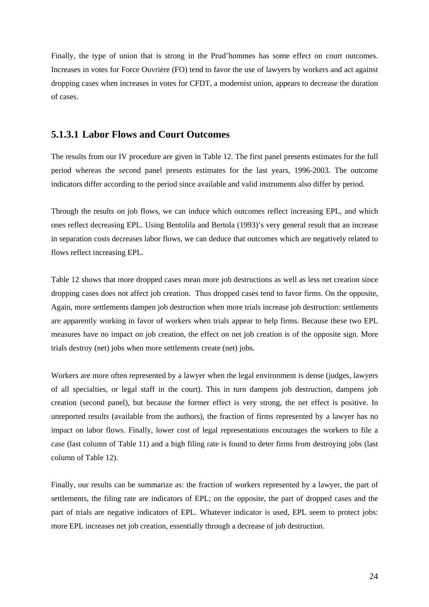Finally, the type of union that is strong in the Prud'hommes has some effect on court outcomes. Increases in votes for Force Ouvrière (FO) tend to favor the use of lawyers by workers and act against dropping cases when increases in votes for CFDT, a modernist union, appears to decrease the duration of cases.

## **5.1.3.1 Labor Flows and Court Outcomes**

The results from our IV procedure are given in Table 12. The first panel presents estimates for the full period whereas the second panel presents estimates for the last years, 1996-2003. The outcome indicators differ according to the period since available and valid instruments also differ by period.

Through the results on job flows, we can induce which outcomes reflect increasing EPL, and which ones reflect decreasing EPL. Using Bentolila and Bertola (1993)'s very general result that an increase in separation costs decreases labor flows, we can deduce that outcomes which are negatively related to flows reflect increasing EPL.

Table 12 shows that more dropped cases mean more job destructions as well as less net creation since dropping cases does not affect job creation. Thus dropped cases tend to favor firms. On the opposite, Again, more settlements dampen job destruction when more trials increase job destruction: settlements are apparently working in favor of workers when trials appear to help firms. Because these two EPL measures have no impact on job creation, the effect on net job creation is of the opposite sign. More trials destroy (net) jobs when more settlements create (net) jobs.

Workers are more often represented by a lawyer when the legal environment is dense (judges, lawyers of all specialties, or legal staff in the court). This in turn dampens job destruction, dampens job creation (second panel), but because the former effect is very strong, the net effect is positive. In unreported results (available from the authors), the fraction of firms represented by a lawyer has no impact on labor flows. Finally, lower cost of legal representations encourages the workers to file a case (last column of Table 11) and a high filing rate is found to deter firms from destroying jobs (last column of Table 12).

Finally, our results can be summarize as: the fraction of workers represented by a lawyer, the part of settlements, the filing rate are indicators of EPL; on the opposite, the part of dropped cases and the part of trials are negative indicators of EPL. Whatever indicator is used, EPL seem to protect jobs: more EPL increases net job creation, essentially through a decrease of job destruction.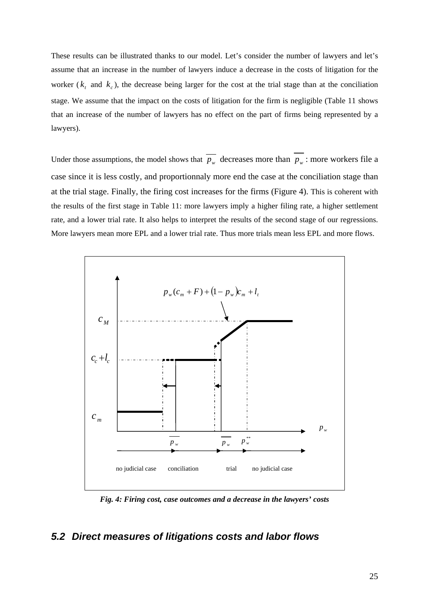These results can be illustrated thanks to our model. Let's consider the number of lawyers and let's assume that an increase in the number of lawyers induce a decrease in the costs of litigation for the worker ( $k_t$  and  $k_c$ ), the decrease being larger for the cost at the trial stage than at the conciliation stage. We assume that the impact on the costs of litigation for the firm is negligible (Table 11 shows that an increase of the number of lawyers has no effect on the part of firms being represented by a lawyers).

Under those assumptions, the model shows that  $\overline{p_w}$  decreases more than  $\overline{p_w}$  : more workers file a case since it is less costly, and proportionnaly more end the case at the conciliation stage than at the trial stage. Finally, the firing cost increases for the firms (Figure 4). This is coherent with the results of the first stage in Table 11: more lawyers imply a higher filing rate, a higher settlement rate, and a lower trial rate. It also helps to interpret the results of the second stage of our regressions. More lawyers mean more EPL and a lower trial rate. Thus more trials mean less EPL and more flows.



*Fig. 4: Firing cost, case outcomes and a decrease in the lawyers' costs* 

# *5.2 Direct measures of litigations costs and labor flows*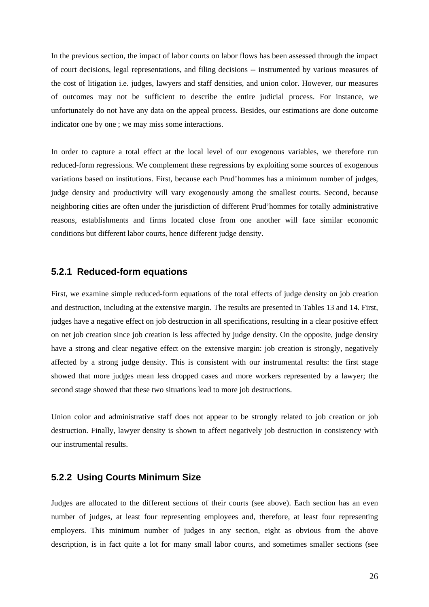In the previous section, the impact of labor courts on labor flows has been assessed through the impact of court decisions, legal representations, and filing decisions -- instrumented by various measures of the cost of litigation i.e. judges, lawyers and staff densities, and union color. However, our measures of outcomes may not be sufficient to describe the entire judicial process. For instance, we unfortunately do not have any data on the appeal process. Besides, our estimations are done outcome indicator one by one ; we may miss some interactions.

In order to capture a total effect at the local level of our exogenous variables, we therefore run reduced-form regressions. We complement these regressions by exploiting some sources of exogenous variations based on institutions. First, because each Prud'hommes has a minimum number of judges, judge density and productivity will vary exogenously among the smallest courts. Second, because neighboring cities are often under the jurisdiction of different Prud'hommes for totally administrative reasons, establishments and firms located close from one another will face similar economic conditions but different labor courts, hence different judge density.

## **5.2.1 Reduced-form equations**

First, we examine simple reduced-form equations of the total effects of judge density on job creation and destruction, including at the extensive margin. The results are presented in Tables 13 and 14. First, judges have a negative effect on job destruction in all specifications, resulting in a clear positive effect on net job creation since job creation is less affected by judge density. On the opposite, judge density have a strong and clear negative effect on the extensive margin: job creation is strongly, negatively affected by a strong judge density. This is consistent with our instrumental results: the first stage showed that more judges mean less dropped cases and more workers represented by a lawyer; the second stage showed that these two situations lead to more job destructions.

Union color and administrative staff does not appear to be strongly related to job creation or job destruction. Finally, lawyer density is shown to affect negatively job destruction in consistency with our instrumental results.

# **5.2.2 Using Courts Minimum Size**

Judges are allocated to the different sections of their courts (see above). Each section has an even number of judges, at least four representing employees and, therefore, at least four representing employers. This minimum number of judges in any section, eight as obvious from the above description, is in fact quite a lot for many small labor courts, and sometimes smaller sections (see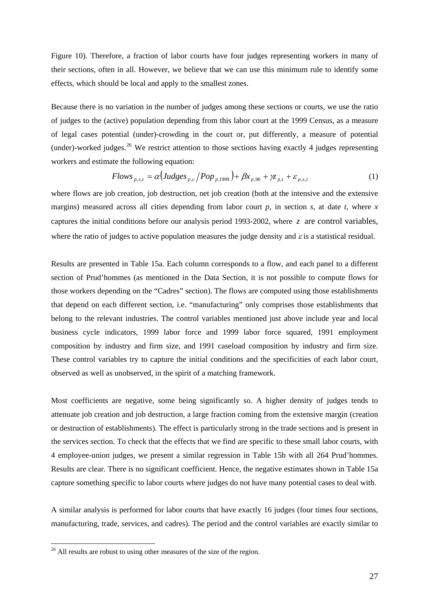<span id="page-27-0"></span>Figure 10). Therefore, a fraction of labor courts have four judges representing workers in many of their sections, often in all. However, we believe that we can use this minimum rule to identify some effects, which should be local and apply to the smallest zones.

Because there is no variation in the number of judges among these sections or courts, we use the ratio of judges to the (active) population depending from this labor court at the 1999 Census, as a measure of legal cases potential (under)-crowding in the court or, put differently, a measure of potential (under)-worked judges.<sup>[26](#page-27-0)</sup> We restrict attention to those sections having exactly 4 judges representing workers and estimate the following equation:

$$
Flows_{p,s,t} = \alpha \left( Judges_{p,c} / Pop_{p,1999} \right) + \beta x_{p,90} + \gamma z_{p,t} + \varepsilon_{p,s,t}
$$
 (1)

where flows are job creation, job destruction, net job creation (both at the intensive and the extensive margins) measured across all cities depending from labor court  $p$ , in section  $s$ , at date  $t$ , where  $x$ captures the initial conditions before our analysis period 1993-2002, where *z* are control variables, where the ratio of judges to active population measures the judge density and  $\varepsilon$  is a statistical residual.

Results are presented in Table 15a. Each column corresponds to a flow, and each panel to a different section of Prud'hommes (as mentioned in the Data Section, it is not possible to compute flows for those workers depending on the "Cadres" section). The flows are computed using those establishments that depend on each different section, i.e. "manufacturing" only comprises those establishments that belong to the relevant industries. The control variables mentioned just above include year and local business cycle indicators, 1999 labor force and 1999 labor force squared, 1991 employment composition by industry and firm size, and 1991 caseload composition by industry and firm size. These control variables try to capture the initial conditions and the specificities of each labor court, observed as well as unobserved, in the spirit of a matching framework.

Most coefficients are negative, some being significantly so. A higher density of judges tends to attenuate job creation and job destruction, a large fraction coming from the extensive margin (creation or destruction of establishments). The effect is particularly strong in the trade sections and is present in the services section. To check that the effects that we find are specific to these small labor courts, with 4 employee-union judges, we present a similar regression in Table 15b with all 264 Prud'hommes. Results are clear. There is no significant coefficient. Hence, the negative estimates shown in Table 15a capture something specific to labor courts where judges do not have many potential cases to deal with.

A similar analysis is performed for labor courts that have exactly 16 judges (four times four sections, manufacturing, trade, services, and cadres). The period and the control variables are exactly similar to

 $26$  All results are robust to using other measures of the size of the region.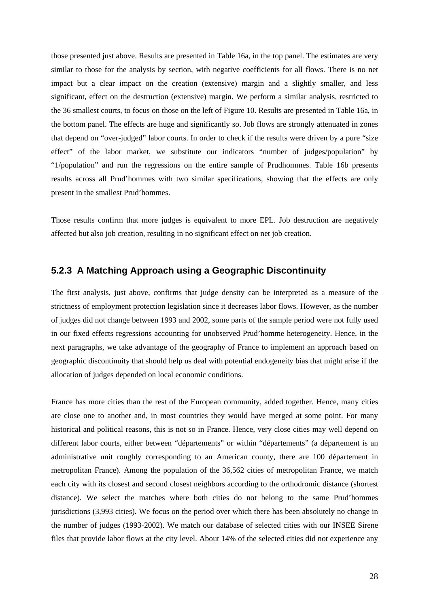those presented just above. Results are presented in Table 16a, in the top panel. The estimates are very similar to those for the analysis by section, with negative coefficients for all flows. There is no net impact but a clear impact on the creation (extensive) margin and a slightly smaller, and less significant, effect on the destruction (extensive) margin. We perform a similar analysis, restricted to the 36 smallest courts, to focus on those on the left of Figure 10. Results are presented in Table 16a, in the bottom panel. The effects are huge and significantly so. Job flows are strongly attenuated in zones that depend on "over-judged" labor courts. In order to check if the results were driven by a pure "size effect" of the labor market, we substitute our indicators "number of judges/population" by "1/population" and run the regressions on the entire sample of Prudhommes. Table 16b presents results across all Prud'hommes with two similar specifications, showing that the effects are only present in the smallest Prud'hommes.

Those results confirm that more judges is equivalent to more EPL. Job destruction are negatively affected but also job creation, resulting in no significant effect on net job creation.

#### **5.2.3 A Matching Approach using a Geographic Discontinuity**

The first analysis, just above, confirms that judge density can be interpreted as a measure of the strictness of employment protection legislation since it decreases labor flows. However, as the number of judges did not change between 1993 and 2002, some parts of the sample period were not fully used in our fixed effects regressions accounting for unobserved Prud'homme heterogeneity. Hence, in the next paragraphs, we take advantage of the geography of France to implement an approach based on geographic discontinuity that should help us deal with potential endogeneity bias that might arise if the allocation of judges depended on local economic conditions.

France has more cities than the rest of the European community, added together. Hence, many cities are close one to another and, in most countries they would have merged at some point. For many historical and political reasons, this is not so in France. Hence, very close cities may well depend on different labor courts, either between "départements" or within "départements" (a département is an administrative unit roughly corresponding to an American county, there are 100 département in metropolitan France). Among the population of the 36,562 cities of metropolitan France, we match each city with its closest and second closest neighbors according to the orthodromic distance (shortest distance). We select the matches where both cities do not belong to the same Prud'hommes jurisdictions (3,993 cities). We focus on the period over which there has been absolutely no change in the number of judges (1993-2002). We match our database of selected cities with our INSEE Sirene files that provide labor flows at the city level. About 14% of the selected cities did not experience any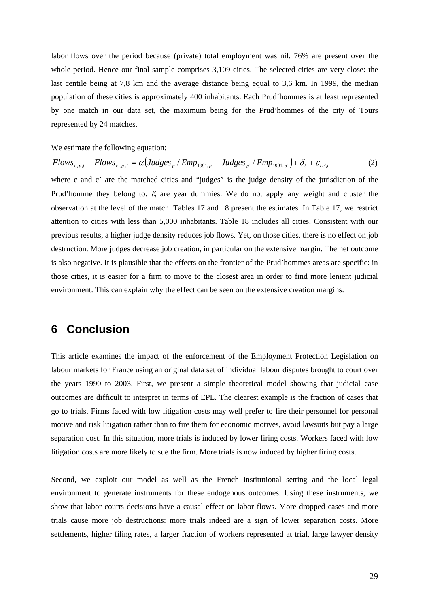labor flows over the period because (private) total employment was nil. 76% are present over the whole period. Hence our final sample comprises 3,109 cities. The selected cities are very close: the last centile being at 7,8 km and the average distance being equal to 3,6 km. In 1999, the median population of these cities is approximately 400 inhabitants. Each Prud'hommes is at least represented by one match in our data set, the maximum being for the Prud'hommes of the city of Tours represented by 24 matches.

We estimate the following equation:

$$
Flows_{c,p,t} - Flows_{c',p',t} = \alpha \left( Judges_p / Emp_{1991,p} - Judges_{p'} / Emp_{1991,p'} \right) + \delta_t + \varepsilon_{cc',t}
$$
 (2)

where c and c' are the matched cities and "judges" is the judge density of the jurisdiction of the Prud'homme they belong to.  $\delta_t$  are year dummies. We do not apply any weight and cluster the observation at the level of the match. Tables 17 and 18 present the estimates. In Table 17, we restrict attention to cities with less than 5,000 inhabitants. Table 18 includes all cities. Consistent with our previous results, a higher judge density reduces job flows. Yet, on those cities, there is no effect on job destruction. More judges decrease job creation, in particular on the extensive margin. The net outcome is also negative. It is plausible that the effects on the frontier of the Prud'hommes areas are specific: in those cities, it is easier for a firm to move to the closest area in order to find more lenient judicial environment. This can explain why the effect can be seen on the extensive creation margins.

# **6 Conclusion**

This article examines the impact of the enforcement of the Employment Protection Legislation on labour markets for France using an original data set of individual labour disputes brought to court over the years 1990 to 2003. First, we present a simple theoretical model showing that judicial case outcomes are difficult to interpret in terms of EPL. The clearest example is the fraction of cases that go to trials. Firms faced with low litigation costs may well prefer to fire their personnel for personal motive and risk litigation rather than to fire them for economic motives, avoid lawsuits but pay a large separation cost. In this situation, more trials is induced by lower firing costs. Workers faced with low litigation costs are more likely to sue the firm. More trials is now induced by higher firing costs.

Second, we exploit our model as well as the French institutional setting and the local legal environment to generate instruments for these endogenous outcomes. Using these instruments, we show that labor courts decisions have a causal effect on labor flows. More dropped cases and more trials cause more job destructions: more trials indeed are a sign of lower separation costs. More settlements, higher filing rates, a larger fraction of workers represented at trial, large lawyer density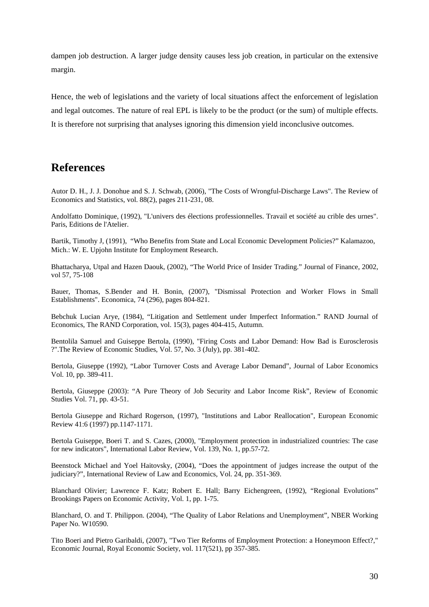dampen job destruction. A larger judge density causes less job creation, in particular on the extensive margin.

Hence, the web of legislations and the variety of local situations affect the enforcement of legislation and legal outcomes. The nature of real EPL is likely to be the product (or the sum) of multiple effects. It is therefore not surprising that analyses ignoring this dimension yield inconclusive outcomes.

# **References**

Autor D. H., J. J. Donohue and S. J. Schwab, (2006), "The Costs of Wrongful-Discharge Laws". The Review of Economics and Statistics, vol. 88(2), pages 211-231, 08.

Andolfatto Dominique, (1992), "L'univers des élections professionnelles. Travail et société au crible des urnes". Paris, Editions de l'Atelier.

Bartik, Timothy J, (1991), "Who Benefits from State and Local Economic Development Policies?" Kalamazoo, Mich.: W. E. Upjohn Institute for Employment Research.

Bhattacharya, Utpal and Hazen Daouk, (2002), "The World Price of Insider Trading." Journal of Finance, 2002, vol 57, 75-108

Bauer, Thomas, S.Bender and H. Bonin, (2007), "Dismissal Protection and Worker Flows in Small Establishments". Economica, 74 (296), pages 804-821.

Bebchuk Lucian Arye, (1984), "Litigation and Settlement under Imperfect Information." RAND Journal of Economics, The RAND Corporation, vol. 15(3), pages 404-415, Autumn.

Bentolila Samuel and Guiseppe Bertola, (1990), "Firing Costs and Labor Demand: How Bad is Eurosclerosis ?".The Review of Economic Studies, Vol. 57, No. 3 (July), pp. 381-402.

Bertola, Giuseppe (1992), "Labor Turnover Costs and Average Labor Demand", Journal of Labor Economics Vol. 10, pp. 389-411.

Bertola, Giuseppe (2003): "A Pure Theory of Job Security and Labor Income Risk", Review of Economic Studies Vol. 71, pp. 43-51.

Bertola Giuseppe and Richard Rogerson, (1997), "Institutions and Labor Reallocation", European Economic Review 41:6 (1997) pp.1147-1171.

Bertola Guiseppe, Boeri T. and S. Cazes, (2000), "Employment protection in industrialized countries: The case for new indicators", International Labor Review, Vol. 139, No. 1, pp.57-72.

Beenstock Michael and Yoel Haitovsky, (2004), "Does the appointment of judges increase the output of the judiciary?", International Review of Law and Economics, Vol. 24, pp. 351-369.

Blanchard Olivier; Lawrence F. Katz; Robert E. Hall; Barry Eichengreen, (1992), "Regional Evolutions" Brookings Papers on Economic Activity, Vol. 1, pp. 1-75.

Blanchard, O. and T. Philippon. (2004)*,* "The Quality of Labor Relations and Unemployment", NBER Working Paper No. W10590.

Tito Boeri and Pietro Garibaldi, (2007), "Two Tier Reforms of Employment Protection: a Honeymoon Effect?," Economic Journal, Royal Economic Society, vol. 117(521), pp 357-385.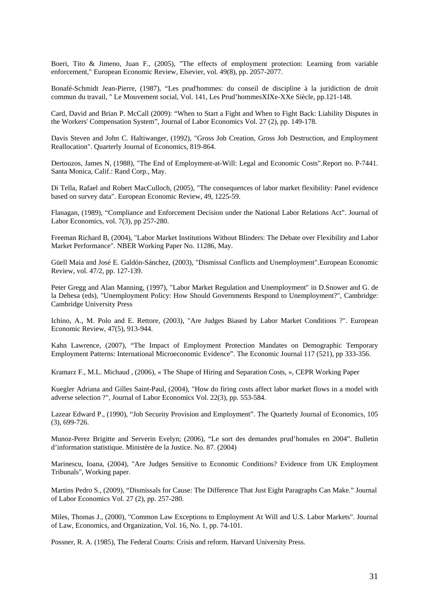Boeri, Tito & Jimeno, Juan F., (2005), ["The effects of employment protection: Learning from variable](http://ideas.repec.org/a/eee/eecrev/v49y2005i8p2057-2077.html)  [enforcement,](http://ideas.repec.org/a/eee/eecrev/v49y2005i8p2057-2077.html)" [European Economic Review](http://ideas.repec.org/s/eee/eecrev.html), Elsevier, vol. 49(8), pp. 2057-2077.

Bonafé-Schmidt Jean-Pierre, (1987), "Les prud'hommes: du conseil de discipline à la juridiction de droit commun du travail, " Le Mouvement social, Vol. 141, Les Prud'hommesXIXe-XXe Siècle, pp.121-148.

Card, David and Brian P. McCall (2009): "When to Start a Fight and When to Fight Back: Liability Disputes in the Workers' Compensation System", Journal of Labor Economics Vol. 27 (2), pp. 149-178.

Davis Steven and John C. Haltiwanger, (1992), "Gross Job Creation, Gross Job Destruction, and Employment Reallocation". Quarterly Journal of Economics, 819-864.

Dertouzos, James N, (1988), "The End of Employment-at-Will: Legal and Economic Costs".Report no. P-7441. Santa Monica, Calif.: Rand Corp., May.

Di Tella, Rafael and Robert MacCulloch, (2005), "The consequences of labor market flexibility: Panel evidence based on survey data". European Economic Review, 49, 1225-59.

Flanagan, (1989), "Compliance and Enforcement Decision under the National Labor Relations Act". Journal of Labor Economics, vol. 7(3), pp 257-280.

Freeman Richard B, (2004), "Labor Market Institutions Without Blinders: The Debate over Flexibility and Labor Market Performance". NBER Working Paper No. 11286, May.

Güell Maia and José E. Galdón-Sánchez, (2003), "Dismissal Conflicts and Unemployment".European Economic Review, vol. 47/2, pp. 127-139.

Peter Gregg and Alan Manning, (1997), "Labor Market Regulation and Unemployment" in D.Snower and G. de la Dehesa (eds), "Unemployment Policy: How Should Governments Respond to Unemployment?", Cambridge: Cambridge University Press

Ichino, A., M. Polo and E. Rettore, (2003), "Are Judges Biased by Labor Market Conditions ?". European Economic Review, 47(5), 913-944.

Kahn Lawrence, (2007), "The Impact of Employment Protection Mandates on Demographic Temporary Employment Patterns: International Microeconomic Evidence". The Economic Journal 117 (521), pp 333-356.

Kramarz F., M.L. Michaud , (2006), « [The Shape of Hiring and Separation Costs](http://www.crest.fr/pageperso/kramarz/dp1170.pdf), », CEPR Working Paper

Kuegler Adriana and Gilles Saint-Paul, (2004), "How do firing costs affect labor market flows in a model with adverse selection ?", Journal of Labor Economics Vol. 22(3), pp. 553-584.

Lazear Edward P., (1990), "Job Security Provision and Employment". The Quarterly Journal of Economics, 105 (3), 699-726.

Munoz-Perez Brigitte and Serverin Evelyn; (2006), "Le sort des demandes prud'homales en 2004". Bulletin d'information statistique. Ministère de la Justice. No. 87. (2004)

Marinescu, Ioana, (2004), "Are Judges Sensitive to Economic Conditions? Evidence from UK Employment Tribunals", Working paper.

Martins Pedro S., (2009), "Dismissals for Cause: The Difference That Just Eight Paragraphs Can Make." Journal of Labor Economics Vol. 27 (2), pp. 257-280.

Miles, Thomas J., (2000), "Common Law Exceptions to Employment At Will and U.S. Labor Markets". Journal of Law, Economics, and Organization, Vol. 16, No. 1, pp. 74-101.

Possner, R. A. (1985), The Federal Courts: Crisis and reform. Harvard University Press.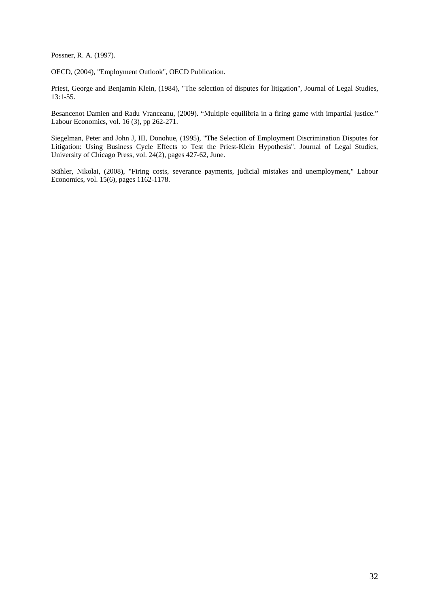Possner, R. A. (1997).

OECD, (2004), "Employment Outlook", OECD Publication.

Priest, George and Benjamin Klein, (1984), "The selection of disputes for litigation", Journal of Legal Studies, 13:1-55.

Besancenot Damien and Radu Vranceanu, (2009). "Multiple equilibria in a firing game with impartial justice." Labour Economics, vol. 16 (3), pp 262-271.

Siegelman, Peter and John J, III, Donohue, (1995), "The Selection of Employment Discrimination Disputes for Litigation: Using Business Cycle Effects to Test the Priest-Klein Hypothesis". Journal of Legal Studies, University of Chicago Press, vol. 24(2), pages 427-62, June.

Stähler, Nikolai, (2008), "Firing costs, severance payments, judicial mistakes and unemployment," Labour Economics, vol. 15(6), pages 1162-1178.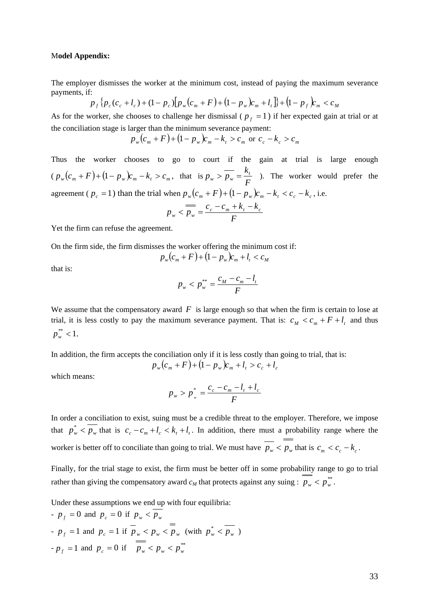#### M**odel Appendix:**

The employer dismisses the worker at the minimum cost, instead of paying the maximum severance payments, if:

$$
p_f\{p_c(c_c+l_c) + (1-p_c)\left[p_w(c_m + F) + (1-p_w)c_m + l_t\right]\} + (1-p_f)c_m < c_M
$$

As for the worker, she chooses to challenge her dismissal ( $p_f = 1$ ) if her expected gain at trial or at the conciliation stage is larger than the minimum severance payment:

$$
p_w(c_m + F) + (1 - p_w)c_m - k_t > c_m
$$
 or  $c_c - k_c > c_m$ 

Thus the worker chooses to go to court if the gain at trial is large enough  $(p_w(c_m + F) + (1 - p_w)c_m - k_t > c_m$ , that is  $p_w > \overline{p_w} = \frac{k_t}{F}$  ). The worker would prefer the agreement ( $p_c = 1$ ) than the trial when  $p_w(c_m + F) + (1 - p_w)c_m - k_t < c_c - k_c$ , i.e.

$$
p_w < \overline{p_w} = \frac{c_c - c_m + k_t - k_c}{F}
$$

Yet the firm can refuse the agreement.

On the firm side, the firm dismisses the worker offering the minimum cost if:

$$
p_w(c_m + F) + (1 - p_w)c_m + l_t < c_M
$$

that is:

$$
p_w < p_w^{**} = \frac{c_M - c_m - l_t}{F}
$$

We assume that the compensatory award  $F$  is large enough so that when the firm is certain to lose at trial, it is less costly to pay the maximum severance payment. That is:  $c_M < c_m + F + l_t$  and thus  $p_w^*$  < 1.

In addition, the firm accepts the conciliation only if it is less costly than going to trial, that is:

$$
p_w(c_m + F) + (1 - p_w)c_m + l_t > c_c + l_c
$$

which means:

$$
p_w > p_w^* = \frac{c_c - c_m - l_t + l_c}{F}
$$

In order a conciliation to exist, suing must be a credible threat to the employer. Therefore, we impose that  $p_w^*$   $\lt p_w$  that is  $c_c - c_m + l_c \lt k_t + l_t$ . In addition, there must a probability range where the worker is better off to conciliate than going to trial. We must have  $\overline{p_w} < p_w$  that is  $c_m < c_c - k_c$ .

Finally, for the trial stage to exist, the firm must be better off in some probability range to go to trial rather than giving the compensatory award  $c_M$  that protects against any suing :  $p_w < p_w^{**}$ .

Under these assumptions we end up with four equilibria:

- 
$$
p_f = 0
$$
 and  $p_c = 0$  if  $p_w < p_w$   
\n-  $p_f = 1$  and  $p_c = 1$  if  $p_w < p_w < p_w$  (with  $p_w^* < p_w$ )  
\n-  $p_f = 1$  and  $p_c = 0$  if  $p_w < p_w < p_w^{**}$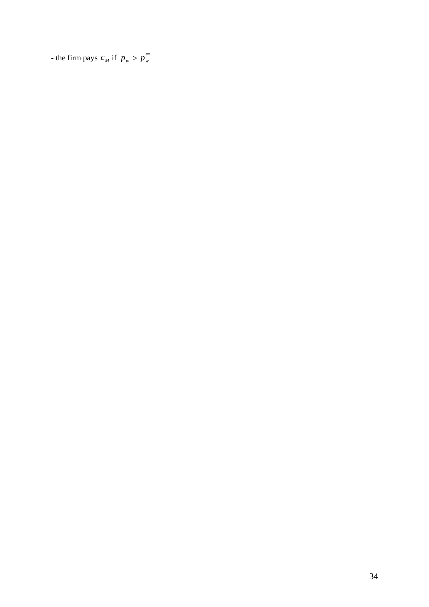- the firm pays  $c_M$  if  $p_w > p_w^{**}$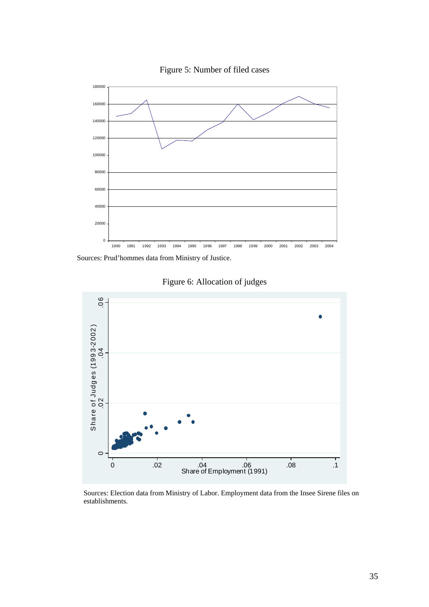

Figure 5: Number of filed cases

Sources: Prud'hommes data from Ministry of Justice.



Figure 6: Allocation of judges

Sources: Election data from Ministry of Labor. Employment data from the Insee Sirene files on establishments.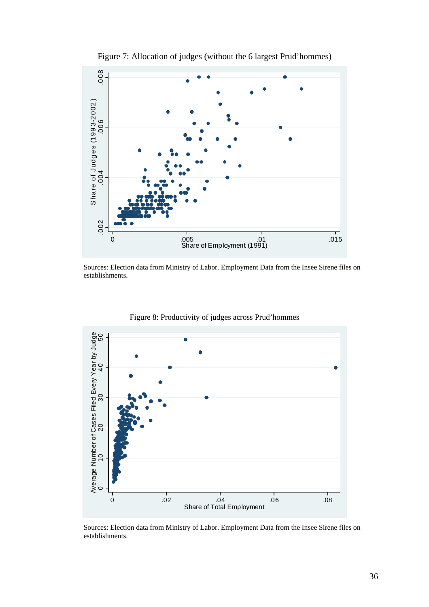

Figure 7: Allocation of judges (without the 6 largest Prud'hommes)

Sources: Election data from Ministry of Labor. Employment Data from the Insee Sirene files on establishments.



Figure 8: Productivity of judges across Prud'hommes

Sources: Election data from Ministry of Labor. Employment Data from the Insee Sirene files on establishments.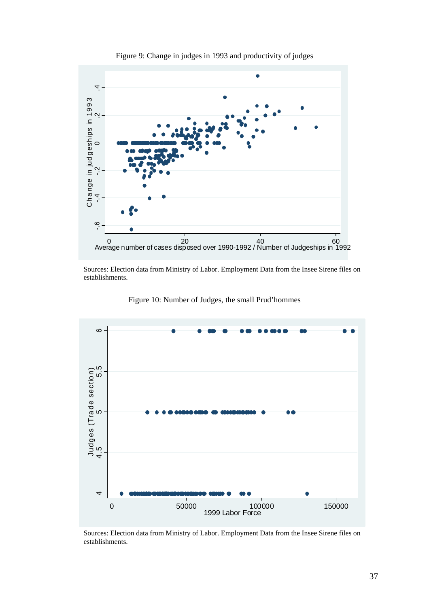

Figure 9: Change in judges in 1993 and productivity of judges

Sources: Election data from Ministry of Labor. Employment Data from the Insee Sirene files on establishments.



Figure 10: Number of Judges, the small Prud'hommes

Sources: Election data from Ministry of Labor. Employment Data from the Insee Sirene files on establishments.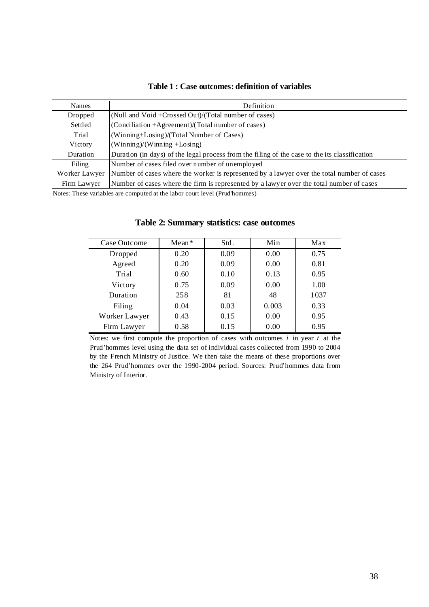| Table 1 : Case outcomes: definition of variables |
|--------------------------------------------------|
|--------------------------------------------------|

| <b>Names</b>  | Definition                                                                                    |
|---------------|-----------------------------------------------------------------------------------------------|
| Dropped       | (Null and Void +Crossed Out)/(Total number of cases)                                          |
| Settled       | (Conciliation +Agreement)/(Total number of cases)                                             |
| Trial         | (Winning+Losing)/(Total Number of Cases)                                                      |
| Victory       | $(Winning)/(Winning + Losing)$                                                                |
| Duration      | Duration (in days) of the legal process from the filing of the case to the its classification |
| Filing        | Number of cases filed over number of unemployed                                               |
| Worker Lawyer | Number of cases where the worker is represented by a lawyer over the total number of cases    |
| Firm Lawyer   | Number of cases where the firm is represented by a lawyer over the total number of cases      |

Notes: These variables are computed at the labor court level (Prud'hommes)

| Case Outcome  | $Mean*$ | Std. | Min   | Max  |
|---------------|---------|------|-------|------|
| Dropped       | 0.20    | 0.09 | 0.00  | 0.75 |
| Agreed        | 0.20    | 0.09 | 0.00  | 0.81 |
| Trial         | 0.60    | 0.10 | 0.13  | 0.95 |
| Victory       | 0.75    | 0.09 | 0.00  | 1.00 |
| Duration      | 258     | 81   | 48    | 1037 |
| Filing        | 0.04    | 0.03 | 0.003 | 0.33 |
| Worker Lawyer | 0.43    | 0.15 | 0.00  | 0.95 |
| Firm Lawyer   | 0.58    | 0.15 | 0.00  | 0.95 |

#### **Table 2: Summary statistics: case outcomes**

Notes: we first compute the proportion of cases with outcomes *i* in year *t* at the Prud'hommes level using the data set of individual cases collected from 1990 to 2004 by the French Ministry of Justice. We then take the means of these proportions over the 264 Prud'hommes over the 1990-2004 period. Sources: Prud'hommes data from Ministry of Interior.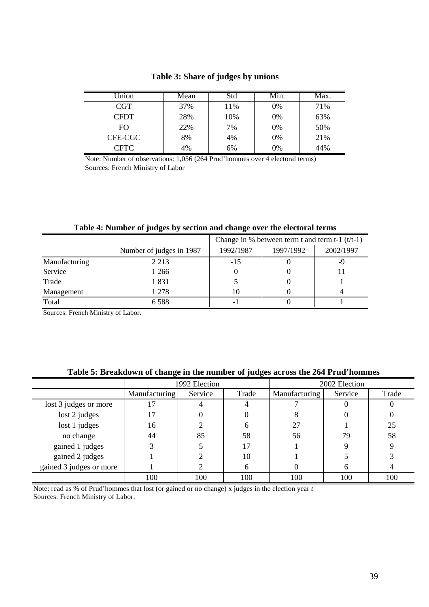| Jnion      | Mean | Std | $\overline{\text{Min.}}$ | Max. |
|------------|------|-----|--------------------------|------|
| <b>CGT</b> | 37%  | 11% | 0%                       | 71%  |
| CFDT       | 28%  | 10% | 0%                       | 63%  |
| FO.        | 22%  | 7%  | 0%                       | 50%  |
| CFE-CGC    | 8%   | 4%  | 0%                       | 21%  |
| CFTC       | 4%   | 6%  | 0%                       | 44%  |

# **Table 3: Share of judges by unions**

Note: Number of observations: 1,056 (264 Prud'hommes over 4 electoral terms) Sources: French Ministry of Labor

|                          |         |           | Change in % between term t and term t-1 $(t/t-1)$ |           |
|--------------------------|---------|-----------|---------------------------------------------------|-----------|
| Number of judges in 1987 |         | 1992/1987 | 1997/1992                                         | 2002/1997 |
| Manufacturing            | 2 2 1 3 | $-15$     |                                                   |           |
| Service                  | 1 266   |           |                                                   |           |
| Trade                    | 1831    |           |                                                   |           |
| Management               | 1 278   | 10        |                                                   |           |
| Total                    | 6 5 8 8 | -         |                                                   |           |

# **Table 4: Number of judges by section and change over the electoral terms**

Sources: French Ministry of Labor.

|                         |               | 1992 Election |       |               | 2002 Election |       |
|-------------------------|---------------|---------------|-------|---------------|---------------|-------|
|                         | Manufacturing | Service       | Trade | Manufacturing | Service       | Trade |
| lost 3 judges or more   |               |               |       |               |               |       |
| lost 2 judges           | 17            |               |       |               |               |       |
| lost 1 judges           | 16            |               | h     | 27            |               | 25    |
| no change               | 44            | 85            | 58    | 56            | 79            | 58    |
| gained 1 judges         |               |               | 17    |               |               |       |
| gained 2 judges         |               |               | 10    |               |               |       |
| gained 3 judges or more |               |               | h     |               |               |       |
|                         | 100           | 100           | 100   | 100           | 100           | 100   |

#### **Table 5: Breakdown of change in the number of judges across the 264 Prud'hommes**

Sources: French Ministry of Labor. Note: read as % of Prud'hommes that lost (or gained or no change) x judges in the election year *t*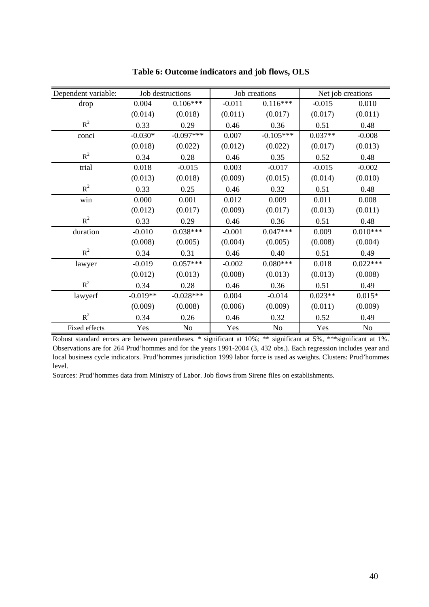| Dependent variable: |            | Job destructions |          | Job creations | Net job creations |                |
|---------------------|------------|------------------|----------|---------------|-------------------|----------------|
| drop                | 0.004      | $0.106***$       | $-0.011$ | $0.116***$    | $-0.015$          | 0.010          |
|                     | (0.014)    | (0.018)          | (0.011)  | (0.017)       | (0.017)           | (0.011)        |
| $R^2$               | 0.33       | 0.29             | 0.46     | 0.36          | 0.51              | 0.48           |
| conci               | $-0.030*$  | $-0.097***$      | 0.007    | $-0.105***$   | $0.037**$         | $-0.008$       |
|                     | (0.018)    | (0.022)          | (0.012)  | (0.022)       | (0.017)           | (0.013)        |
| $R^2$               | 0.34       | 0.28             | 0.46     | 0.35          | 0.52              | 0.48           |
| trial               | 0.018      | $-0.015$         | 0.003    | $-0.017$      | $-0.015$          | $-0.002$       |
|                     | (0.013)    | (0.018)          | (0.009)  | (0.015)       | (0.014)           | (0.010)        |
| $R^2$               | 0.33       | 0.25             | 0.46     | 0.32          | 0.51              | 0.48           |
| win                 | 0.000      | 0.001            | 0.012    | 0.009         | 0.011             | 0.008          |
|                     | (0.012)    | (0.017)          | (0.009)  | (0.017)       | (0.013)           | (0.011)        |
| $R^2$               | 0.33       | 0.29             | 0.46     | 0.36          | 0.51              | 0.48           |
| duration            | $-0.010$   | $0.038***$       | $-0.001$ | $0.047***$    | 0.009             | $0.010***$     |
|                     | (0.008)    | (0.005)          | (0.004)  | (0.005)       | (0.008)           | (0.004)        |
| $R^2$               | 0.34       | 0.31             | 0.46     | 0.40          | 0.51              | 0.49           |
| lawyer              | $-0.019$   | $0.057***$       | $-0.002$ | $0.080***$    | 0.018             | $0.022***$     |
|                     | (0.012)    | (0.013)          | (0.008)  | (0.013)       | (0.013)           | (0.008)        |
| $R^2$               | 0.34       | 0.28             | 0.46     | 0.36          | 0.51              | 0.49           |
| lawyerf             | $-0.019**$ | $-0.028***$      | 0.004    | $-0.014$      | $0.023**$         | $0.015*$       |
|                     | (0.009)    | (0.008)          | (0.006)  | (0.009)       | (0.011)           | (0.009)        |
| $R^2$               | 0.34       | 0.26             | 0.46     | 0.32          | 0.52              | 0.49           |
| Fixed effects       | Yes        | No               | Yes      | No            | Yes               | N <sub>o</sub> |

**Table 6: Outcome indicators and job flows, OLS**

Robust standard errors are between parentheses. \* significant at 10%; \*\* significant at 5%, \*\*\*significant at 1%. Observations are for 264 Prud'hommes and for the years 1991-2004 (3, 432 obs.). Each regression includes year and local business cycle indicators. Prud'hommes jurisdiction 1999 labor force is used as weights. Clusters: Prud'hommes level.

Sources: Prud'hommes data from Ministry of Labor. Job flows from Sirene files on establishments.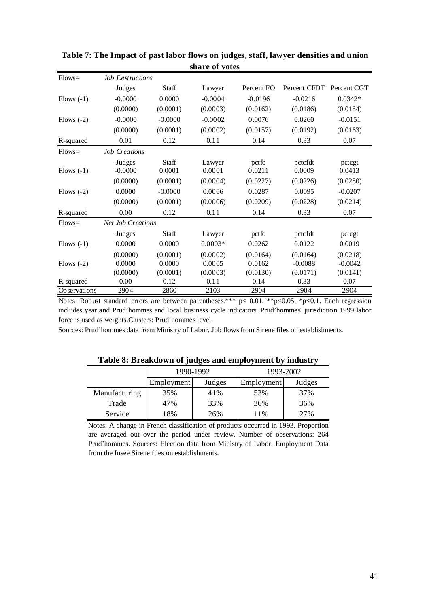| $Flows=$     | <b>Job Destructions</b>  |                 |                  |                 |                    |                  |
|--------------|--------------------------|-----------------|------------------|-----------------|--------------------|------------------|
|              | Judges                   | Staff           | Lawyer           | Percent FO      | Percent CFDT       | Percent CGT      |
| $Flows(-1)$  | $-0.0000$                | 0.0000          | $-0.0004$        | $-0.0196$       | $-0.0216$          | $0.0342*$        |
|              | (0.0000)                 | (0.0001)        | (0.0003)         | (0.0162)        | (0.0186)           | (0.0184)         |
| Flows $(-2)$ | $-0.0000$                | $-0.0000$       | $-0.0002$        | 0.0076          | 0.0260             | $-0.0151$        |
|              | (0.0000)                 | (0.0001)        | (0.0002)         | (0.0157)        | (0.0192)           | (0.0163)         |
| R-squared    | 0.01                     | 0.12            | 0.11             | 0.14            | 0.33               | 0.07             |
| $Flows =$    | <b>Job Creations</b>     |                 |                  |                 |                    |                  |
| $Flows(-1)$  | Judges<br>$-0.0000$      | Staff<br>0.0001 | Lawyer<br>0.0001 | pctfo<br>0.0211 | pctc fdt<br>0.0009 | pctcgt<br>0.0413 |
|              | (0.0000)                 | (0.0001)        | (0.0004)         | (0.0227)        | (0.0226)           | (0.0280)         |
| Flows $(-2)$ | 0.0000                   | $-0.0000$       | 0.0006           | 0.0287          | 0.0095             | $-0.0207$        |
|              | (0.0000)                 | (0.0001)        | (0.0006)         | (0.0209)        | (0.0228)           | (0.0214)         |
| R-squared    | 0.00                     | 0.12            | 0.11             | 0.14            | 0.33               | 0.07             |
| $Flows =$    | <b>Net Job Creations</b> |                 |                  |                 |                    |                  |
|              | Judges                   | Staff           | Lawyer           | pctfo           | pctc fdt           | pctcgt           |
| $Flows(-1)$  | 0.0000                   | 0.0000          | $0.0003*$        | 0.0262          | 0.0122             | 0.0019           |
|              | (0.0000)                 | (0.0001)        | (0.0002)         | (0.0164)        | (0.0164)           | (0.0218)         |
| Flows $(-2)$ | 0.0000                   | 0.0000          | 0.0005           | 0.0162          | $-0.0088$          | $-0.0042$        |
|              | (0.0000)                 | (0.0001)        | (0.0003)         | (0.0130)        | (0.0171)           | (0.0141)         |
| R-squared    | 0.00                     | 0.12            | 0.11             | 0.14            | 0.33               | 0.07             |
| Observations | 2904                     | 2860            | 2103             | 2904            | 2904               | 2904             |

**Table 7: The Impact of past labor flows on judges, staff, lawyer densities and union share of votes**

Notes: Robust standard errors are between parentheses.\*\*\*  $p$ < 0.01, \*\*p<0.05, \*p<0.1. Each regression includes year and Prud'hommes and local business cycle indicators. Prud'hommes' jurisdiction 1999 labor force is used as weights.Clusters: Prud'hommes level.

Sources: Prud'hommes data from Ministry of Labor. Job flows from Sirene files on establishments.

| Table of Dreamown or judges and employment by mudstry |            |           |            |           |  |  |  |  |
|-------------------------------------------------------|------------|-----------|------------|-----------|--|--|--|--|
|                                                       |            | 1990-1992 |            | 1993-2002 |  |  |  |  |
|                                                       | Employment | Judges    | Employment | Judges    |  |  |  |  |
| Manufacturing                                         | 35%        | 41%       | 53%        | 37%       |  |  |  |  |
| Trade                                                 | 47%        | 33%       | 36%        | 36%       |  |  |  |  |
| Service                                               | 18%        | 26%       | 11%        | 27%       |  |  |  |  |

**Table 8: Breakdown of judges and employment by industry**

Notes: A change in French classification of products occurred in 1993. Proportion are averaged out over the period under review. Number of observations: 264 Prud'hommes. Sources: Election data from Ministry of Labor. Employment Data from the Insee Sirene files on establishments.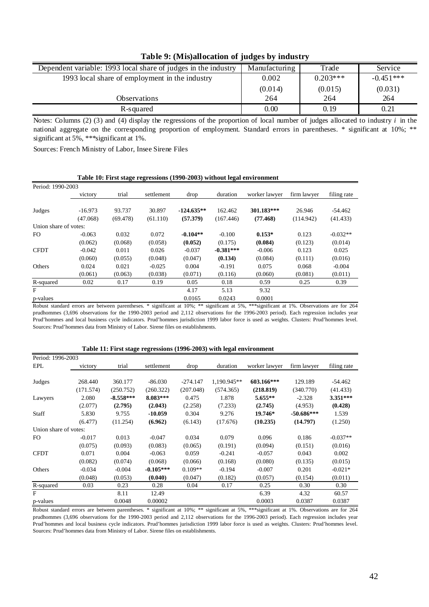| Table 7. (Bris)an ocation of Judges by muustry                 |               |            |             |  |  |  |  |
|----------------------------------------------------------------|---------------|------------|-------------|--|--|--|--|
| Dependent variable: 1993 local share of judges in the industry | Manufacturing | Trade      | Service     |  |  |  |  |
| 1993 local share of employment in the industry                 | 0.002         | $0.203***$ | $-0.451***$ |  |  |  |  |
|                                                                | (0.014)       | (0.015)    | (0.031)     |  |  |  |  |
| Observations                                                   | 264           | 264        | 264         |  |  |  |  |
| R-squared                                                      | 0.00          | 0.19       | 0.21        |  |  |  |  |

### **Table 9: (Mis)allocation of judges by industry**

Notes: Columns (2) (3) and (4) display the regressions of the proportion of local number of judges allocated to industry *i* in the national aggregate on the corresponding proportion of employment. Standard errors in parentheses. \* significant at 10%; \*\* significant at 5%, \*\*\* significant at 1%.

Sources: French Ministry of Labor, Insee Sirene Files

| Period: 1990-2003     |           |          |            |              |             |               |             |             |
|-----------------------|-----------|----------|------------|--------------|-------------|---------------|-------------|-------------|
|                       | victory   | trial    | settlement | drop         | duration    | worker lawyer | firm lawyer | filing rate |
|                       |           |          |            |              |             |               |             |             |
| Judges                | $-16.973$ | 93.737   | 30.897     | $-124.635**$ | 162.462     | 301.183***    | 26.946      | $-54.462$   |
|                       | (47.068)  | (69.478) | (61.110)   | (57.379)     | (167.446)   | (77.468)      | (114.942)   | (41.433)    |
| Union share of votes: |           |          |            |              |             |               |             |             |
| FO.                   | $-0.063$  | 0.032    | 0.072      | $-0.104**$   | $-0.100$    | $0.153*$      | 0.123       | $-0.032**$  |
|                       | (0.062)   | (0.068)  | (0.058)    | (0.052)      | (0.175)     | (0.084)       | (0.123)     | (0.014)     |
| <b>CFDT</b>           | $-0.042$  | 0.011    | 0.026      | $-0.037$     | $-0.381***$ | $-0.006$      | 0.123       | 0.025       |
|                       | (0.060)   | (0.055)  | (0.048)    | (0.047)      | (0.134)     | (0.084)       | (0.111)     | (0.016)     |
| Others                | 0.024     | 0.021    | $-0.025$   | 0.004        | $-0.191$    | 0.075         | 0.068       | $-0.004$    |
|                       | (0.061)   | (0.063)  | (0.038)    | (0.071)      | (0.116)     | (0.060)       | (0.081)     | (0.011)     |
| R-squared             | 0.02      | 0.17     | 0.19       | 0.05         | 0.18        | 0.59          | 0.25        | 0.39        |
| F                     |           |          |            | 4.17         | 5.13        | 9.32          |             |             |
| p-values              |           |          |            | 0.0165       | 0.0243      | 0.0001        |             |             |

#### **Table 10: First stage regressions (1990-2003) without legal environment**

Robust standard errors are between parentheses. \* significant at 10%; \*\* significant at 5%, \*\*\*significant at 1%. Observations are for 264 prudhommes (3,696 observations for the 1990-2003 period and 2,112 observations for the 1996-2003 period). Each regression includes year Prud'hommes and local business cycle indicators. Prud'hommes jurisdiction 1999 labor force is used as weights. Clusters: Prud'hommes level. Sources: Prud'hommes data from Ministry of Labor. Sirene files on establishments.

#### EPL victory trial settlement drop duration worker lawyer firm lawyer filing rate Judges 268.440 360.177 -86.030 -274.147 1,190.945\*\* **603.166\*\*\*** 129.189 -54.462 (171.574) (250.752) (260.322) (207.048) (574.365) **(218.819)** (340.770) (41.433) Lawyers 2.080 **-8.558\*\*\* 8.083\*\*\*** 0.475 1.878 **5.655\*\*** -2.328 **3.351\*\*\*** (2.077) **(2.795) (2.043)** (2.258) (7.233) **(2.745)** (4.953) **(0.428)** Staff 5.830 9.755 **-10.059** 0.304 9.276 **19.746\* -50.686\*\*\*** 1.539 (6.477) (11.254) **(6.962)** (6.143) (17.676) **(10.235) (14.797)** (1.250) Union share of votes: FO -0.017 0.013 -0.047 0.034 0.079 0.096 0.186 -0.037\*\*  $(0.075)$   $(0.093)$   $(0.083)$   $(0.065)$   $(0.191)$   $(0.094)$   $(0.151)$   $(0.016)$ CFDT 0.071 0.004 -0.063 0.059 -0.241 -0.057 0.043 0.002  $(0.082)$   $(0.074)$   $(0.068)$   $(0.066)$   $(0.168)$   $(0.080)$   $(0.135)$   $(0.015)$ Others -0.034 -0.004 **-0.105\*\*\*** 0.109\*\* -0.194 -0.007 0.201 -0.021\* (0.048) (0.053) **(0.040)** (0.047) (0.182) (0.057) (0.154) (0.011) R-squared 0.03 0.23 0.28 0.04 0.17 0.25 0.30 0.30 F 8.11 12.49 6.39 4.32 60.57 p-values 0.00048 0.00002 0.0003 0.0387 0.0387 0.0387 Period: 1996-2003 **Table 11: First stage regressions (1996-2003) with legal environment**

Robust standard errors are between parentheses. \* significant at 10%; \*\* significant at 5%, \*\*\*significant at 1%. Observations are for 264 prudhommes (3,696 observations for the 1990-2003 period and 2,112 observations for the 1996-2003 period). Each regression includes year Prud'hommes and local business cycle indicators. Prud'hommes jurisdiction 1999 labor force is used as weights. Clusters: Prud'hommes level. Sources: Prud'hommes data from Ministry of Labor. Sirene files on establishments.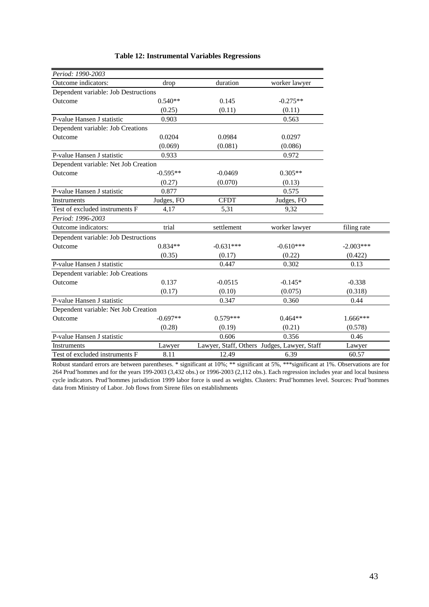| Period: 1990-2003                    |            |             |                                             |             |
|--------------------------------------|------------|-------------|---------------------------------------------|-------------|
| Outcome indicators:                  | drop       | duration    | worker lawyer                               |             |
| Dependent variable: Job Destructions |            |             |                                             |             |
| Outcome                              | $0.540**$  | 0.145       | $-0.275**$                                  |             |
|                                      | (0.25)     | (0.11)      | (0.11)                                      |             |
| P-value Hansen J statistic           | 0.903      |             | 0.563                                       |             |
| Dependent variable: Job Creations    |            |             |                                             |             |
| Outcome                              | 0.0204     | 0.0984      | 0.0297                                      |             |
|                                      | (0.069)    | (0.081)     | (0.086)                                     |             |
| P-value Hansen J statistic           | 0.933      |             | 0.972                                       |             |
| Dependent variable: Net Job Creation |            |             |                                             |             |
| Outcome                              | $-0.595**$ | $-0.0469$   | $0.305**$                                   |             |
|                                      | (0.27)     | (0.070)     | (0.13)                                      |             |
| P-value Hansen J statistic           | 0.877      |             | 0.575                                       |             |
| <b>Instruments</b>                   | Judges, FO | <b>CFDT</b> | Judges, FO                                  |             |
| Test of excluded instruments F       | 4,17       | 5,31        | 9,32                                        |             |
| Period: 1996-2003                    |            |             |                                             |             |
| Outcome indicators:                  | trial      | settlement  | worker lawyer                               | filing rate |
| Dependent variable: Job Destructions |            |             |                                             |             |
| Outcome                              | $0.834**$  | $-0.631***$ | $-0.610***$                                 | $-2.003***$ |
|                                      | (0.35)     | (0.17)      | (0.22)                                      | (0.422)     |
| P-value Hansen J statistic           |            | 0.447       | 0.302                                       | 0.13        |
| Dependent variable: Job Creations    |            |             |                                             |             |
| Outcome                              | 0.137      | $-0.0515$   | $-0.145*$                                   | $-0.338$    |
|                                      | (0.17)     | (0.10)      | (0.075)                                     | (0.318)     |
| P-value Hansen J statistic           |            | 0.347       | 0.360                                       | 0.44        |
| Dependent variable: Net Job Creation |            |             |                                             |             |
| Outcome                              | $-0.697**$ | $0.579***$  | $0.464**$                                   | 1.666***    |
|                                      | (0.28)     | (0.19)      | (0.21)                                      | (0.578)     |
| P-value Hansen J statistic           |            | 0.606       | 0.356                                       | 0.46        |
| Instruments                          | Lawyer     |             | Lawyer, Staff, Others Judges, Lawyer, Staff | Lawyer      |
| Test of excluded instruments F       | 8.11       | 12.49       | 6.39                                        | 60.57       |

#### **Table 12: Instrumental Variables Regressions**

Robust standard errors are between parentheses. \* significant at 10%; \*\* significant at 5%, \*\*\*significant at 1%. Observations are for 264 Prud'hommes and for the years 199-2003 (3,432 obs.) or 1996-2003 (2,112 obs.). Each regression includes year and local business cycle indicators. Prud'hommes jurisdiction 1999 labor force is used as weights. Clusters: Prud'hommes level. Sources: Prud'hommes data from Ministry of Labor. Job flows from Sirene files on establishments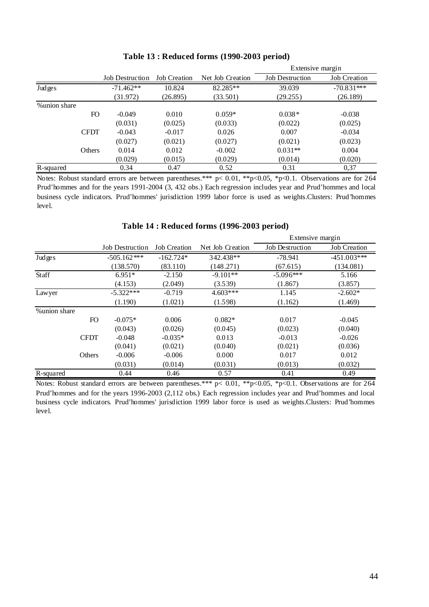|              |             |                        |                     |                  | Extensive margin       |                     |
|--------------|-------------|------------------------|---------------------|------------------|------------------------|---------------------|
|              |             | <b>Job Destruction</b> | <b>Job Creation</b> | Net Job Creation | <b>Job Destruction</b> | <b>Job Creation</b> |
| Judges       |             | $-71.462**$            | 10.824              | 82.285**         | 39.039                 | $-70.831***$        |
|              |             | (31.972)               | (26.895)            | (33.501)         | (29.255)               | (26.189)            |
| %union share |             |                        |                     |                  |                        |                     |
|              | FO          | $-0.049$               | 0.010               | $0.059*$         | $0.038*$               | $-0.038$            |
|              |             | (0.031)                | (0.025)             | (0.033)          | (0.022)                | (0.025)             |
|              | <b>CFDT</b> | $-0.043$               | $-0.017$            | 0.026            | 0.007                  | $-0.034$            |
|              |             | (0.027)                | (0.021)             | (0.027)          | (0.021)                | (0.023)             |
|              | Others      | 0.014                  | 0.012               | $-0.002$         | $0.031**$              | 0.004               |
|              |             | (0.029)                | (0.015)             | (0.029)          | (0.014)                | (0.020)             |
| R-squared    |             | 0.34                   | 0.47                | 0.52             | 0.31                   | 0,37                |

#### **Table 13 : Reduced forms (1990-2003 period)**

Notes: Robust standard errors are between parentheses.\*\*\* p< 0.01, \*\*p<0.05, \*p<0.1. Observations are for 264 Prud'hommes and for the years 1991-2004 (3, 432 obs.) Each regression includes year and Prud'hommes and local business cycle indicators. Prud'hommes' jurisdiction 1999 labor force is used as weights.Clusters: Prud'hommes level.

|              |                        |                     |                  | Extensive margin       |                     |
|--------------|------------------------|---------------------|------------------|------------------------|---------------------|
|              | <b>Job Destruction</b> | <b>Job Creation</b> | Net Job Creation | <b>Job Destruction</b> | <b>Job Creation</b> |
| Judges       | $-505.162***$          | $-162.724*$         | 342.438**        | $-78.941$              | $-451.003***$       |
|              | (138.570)              | (83.110)            | (148.271)        | (67.615)               | (134.081)           |
| Staff        | $6.951*$               | $-2.150$            | $-9.101**$       | $-5.096***$            | 5.166               |
|              | (4.153)                | (2.049)             | (3.539)          | (1.867)                | (3.857)             |
| Lawyer       | $-5.322***$            | $-0.719$            | $4.603***$       | 1.145                  | $-2.602*$           |
|              | (1.190)                | (1.021)             | (1.598)          | (1.162)                | (1.469)             |
| %union share |                        |                     |                  |                        |                     |
| FO           | $-0.075*$              | 0.006               | $0.082*$         | 0.017                  | $-0.045$            |
|              | (0.043)                | (0.026)             | (0.045)          | (0.023)                | (0.040)             |
| <b>CFDT</b>  | $-0.048$               | $-0.035*$           | 0.013            | $-0.013$               | $-0.026$            |
|              | (0.041)                | (0.021)             | (0.040)          | (0.021)                | (0.036)             |
| Others       | $-0.006$               | $-0.006$            | 0.000            | 0.017                  | 0.012               |
|              | (0.031)                | (0.014)             | (0.031)          | (0.013)                | (0.032)             |
| R-squared    | 0.44                   | 0.46                | 0.57             | 0.41                   | 0.49                |

#### **Table 14 : Reduced forms (1996-2003 period)**

Notes: Robust standard errors are between parentheses.\*\*\* p< 0.01, \*\*p<0.05, \*p<0.1. Observations are for 264 Prud'hommes and for the years 1996-2003 (2,112 obs.) Each regression includes year and Prud'hommes and local business cycle indicators. Prud'hommes' jurisdiction 1999 labor force is used as weights.Clusters: Prud'hommes level.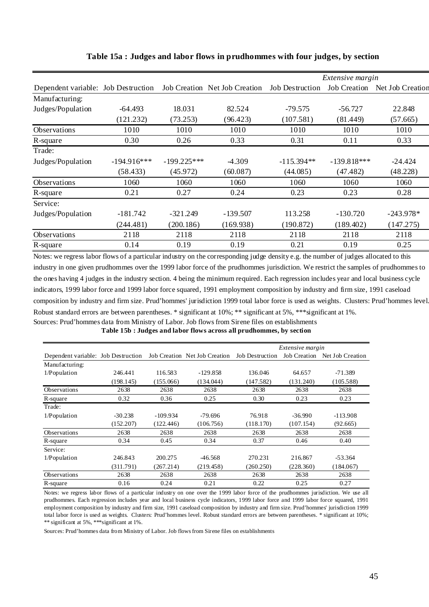|                                     |               |               |                                               |              | Extensive margin    |                  |
|-------------------------------------|---------------|---------------|-----------------------------------------------|--------------|---------------------|------------------|
| Dependent variable: Job Destruction |               |               | Job Creation Net Job Creation Job Destruction |              | <b>Job Creation</b> | Net Job Creation |
| Manufacturing:                      |               |               |                                               |              |                     |                  |
| Judges/Population                   | $-64.493$     | 18.031        | 82.524                                        | $-79.575$    | $-56.727$           | 22.848           |
|                                     | (121.232)     | (73.253)      | (96.423)                                      | (107.581)    | (81.449)            | (57.665)         |
| Observations                        | 1010          | 1010          | 1010                                          | 1010         | 1010                | 1010             |
| R-square                            | 0.30          | 0.26          | 0.33                                          | 0.31         | 0.11                | 0.33             |
| Trade:                              |               |               |                                               |              |                     |                  |
| Judges/Population                   | $-194.916***$ | $-199.225***$ | $-4.309$                                      | $-115.394**$ | $-139.818***$       | $-24.424$        |
|                                     | (58.433)      | (45.972)      | (60.087)                                      | (44.085)     | (47.482)            | (48.228)         |
| Observations                        | 1060          | 1060          | 1060                                          | 1060         | 1060                | 1060             |
| R-square                            | 0.21          | 0.27          | 0.24                                          | 0.23         | 0.23                | 0.28             |
| Service:                            |               |               |                                               |              |                     |                  |
| Judges/Population                   | $-181.742$    | $-321.249$    | $-139.507$                                    | 113.258      | $-130.720$          | $-243.978*$      |
|                                     | (244.481)     | (200.186)     | (169.938)                                     | (190.872)    | (189.402)           | (147.275)        |
| Observations                        | 2118          | 2118          | 2118                                          | 2118         | 2118                | 2118             |
| R-square                            | 0.14          | 0.19          | 0.19                                          | 0.21         | 0.19                | 0.25             |

#### **Table 15a : Judges and labor flows in prudhommes with four judges, by section**

Sources: Prud'hommes data from Ministry of Labor. Job flows from Sirene files on establishments Notes: we regress labor flows of a particular industry on the corresponding judge density e.g. the number of judges allocated to this industry in one given prudhommes over the 1999 labor force of the prudhommes jurisdiction. We restrict the samples of prudhommes to the ones having 4 judges in the industry section. 4 being the minimum required. Each regression includes year and local business cycle indicators, 1999 labor force and 1999 labor force squared, 1991 employment composition by industry and firm size, 1991 caseload composition by industry and firm size. Prud'hommes' jurisdiction 1999 total labor force is used as weights. Clusters: Prud'hommes level. Robust standard errors are between parentheses. \* significant at 10%; \*\* significant at 5%, \*\*\*significant at 1%.

**Table 15b : Judges and labor flows across all prudhommes, by section**

|                                     |           |            |                               |                        | Extensive margin    |                  |
|-------------------------------------|-----------|------------|-------------------------------|------------------------|---------------------|------------------|
| Dependent variable: Job Destruction |           |            | Job Creation Net Job Creation | <b>Job Destruction</b> | <b>Job Creation</b> | Net Job Creation |
| Manufacturing:                      |           |            |                               |                        |                     |                  |
| 1/Population                        | 246.441   | 116.583    | $-129.858$                    | 136.046                | 64.657              | -71.389          |
|                                     | (198.145) | (155.066)  | (134.044)                     | (147.582)              | (131.240)           | (105.588)        |
| Observations                        | 2638      | 2638       | 2638                          | 2638                   | 2638                | 2638             |
| R-square                            | 0.32      | 0.36       | 0.25                          | 0.30                   | 0.23                | 0.23             |
| Trade:                              |           |            |                               |                        |                     |                  |
| 1/Population                        | $-30.238$ | $-109.934$ | $-79.696$                     | 76.918                 | $-36.990$           | $-113.908$       |
|                                     | (152.207) | (122.446)  | (106.756)                     | (118.170)              | (107.154)           | (92.665)         |
| <b>Observations</b>                 | 2638      | 2638       | 2638                          | 2638                   | 2638                | 2638             |
| R-square                            | 0.34      | 0.45       | 0.34                          | 0.37                   | 0.46                | 0.40             |
| Service:                            |           |            |                               |                        |                     |                  |
| 1/Population                        | 246.843   | 200.275    | $-46.568$                     | 270.231                | 216.867             | $-53.364$        |
|                                     | (311.791) | (267.214)  | (219.458)                     | (260.250)              | (228.360)           | (184.067)        |
| <b>Observations</b>                 | 2638      | 2638       | 2638                          | 2638                   | 2638                | 2638             |
| R-square                            | 0.16      | 0.24       | 0.21                          | 0.22                   | 0.25                | 0.27             |

Notes: we regress labor flows of a particular industry on one over the 1999 labor force of the prudhommes jurisdiction. We use all prudhommes. Each regression includes year and local business cycle indicators, 1999 labor force and 1999 labor force squared, 1991 employment composition by industry and firm size, 1991 caseload composition by industry and firm size. Prud'hommes' jurisdiction 1999 total labor force is used as weights. Clusters: Prud'hommes level. Robust standard errors are between parentheses. \* significant at 10%; \*\* significant at 5%, \*\*\*significant at 1%.

Sources: Prud'hommes data from Ministry of Labor. Job flows from Sirene files on establishments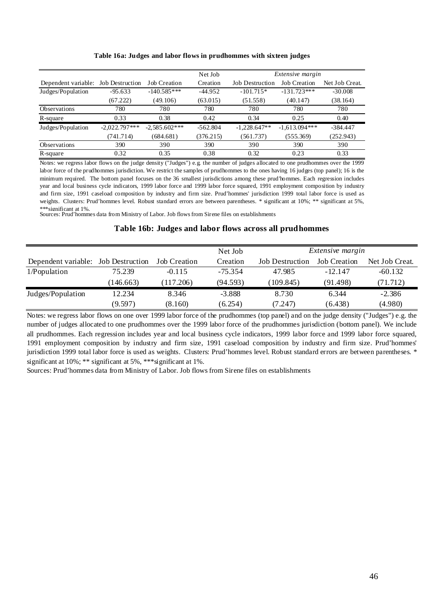|                                     |                 |                     | Net Job    |                        | Extensive margin    |                |
|-------------------------------------|-----------------|---------------------|------------|------------------------|---------------------|----------------|
| Dependent variable: Job Destruction |                 | <b>Job Creation</b> | Creation   | <b>Job Destruction</b> | <b>Job Creation</b> | Net Job Creat. |
| Judges/Population                   | $-95.633$       | $-140.585***$       | $-44.952$  | $-101.715*$            | $-131.723***$       | $-30.008$      |
|                                     | (67.222)        | (49.106)            | (63.015)   | (51.558)               | (40.147)            | (38.164)       |
| <b>Observations</b>                 | 780             | 780                 | 780        | 780                    | 780                 | 780            |
| R-square                            | 0.33            | 0.38                | 0.42       | 0.34                   | 0.25                | 0.40           |
| Judges/Population                   | $-2,022.797***$ | $-2,585.602***$     | $-562.804$ | $-1,228.647**$         | $-1,613.094***$     | $-384.447$     |
|                                     | (741.714)       | (684.681)           | (376.215)  | (561.737)              | (555.369)           | (252.943)      |
| <b>Observations</b>                 | 390             | 390                 | 390        | 390                    | 390                 | 390            |
| R-square                            | 0.32            | 0.35                | 0.38       | 0.32                   | 0.23                | 0.33           |

#### **Table 16a: Judges and labor flows in prudhommes with sixteen judges**

Notes: we regress labor flows on the judge density ("Judges") e.g. the number of judges allocated to one prudhommes over the 1999 labor force of the prudhommes jurisdiction. We restrict the samples of prudhommes to the ones having 16 judges (top panel); 16 is the minimum required. The bottom panel focuses on the 36 smallest jurisdictions among these prud'hommes. Each regression includes year and local business cycle indicators, 1999 labor force and 1999 labor force squared, 1991 employment composition by industry and firm size, 1991 caseload composition by industry and firm size. Prud'hommes' jurisdiction 1999 total labor force is used as weights. Clusters: Prud'hommes level. Robust standard errors are between parentheses. \* significant at 10%; \*\* significant at 5%, \*\*\*significant at 1%.

Sources: Prud'hommes data from Ministry of Labor. Job flows from Sirene files on establishments

#### **Table 16b: Judges and labor flows across all prudhommes**

|                                     |           |                     | Net Job   | <i>Extensive margin</i> |                     |                |
|-------------------------------------|-----------|---------------------|-----------|-------------------------|---------------------|----------------|
| Dependent variable: Job Destruction |           | <b>Job Creation</b> | Creation  | <b>Job Destruction</b>  | <b>Job</b> Creation | Net Job Creat. |
| 1/Population                        | 75.239    | $-0.115$            | $-75.354$ | 47.985                  | $-12.147$           | $-60.132$      |
|                                     | (146.663) | (117.206)           | (94.593)  | (109.845)               | (91.498)            | (71.712)       |
| Judges/Population                   | 12.234    | 8.346               | $-3.888$  | 8.730                   | 6.344               | $-2.386$       |
|                                     | (9.597)   | (8.160)             | (6.254)   | (7.247)                 | (6.438)             | (4.980)        |

Notes: we regress labor flows on one over 1999 labor force of the prudhommes (top panel) and on the judge density ("Judges") e.g. the number of judges allocated to one prudhommes over the 1999 labor force of the prudhommes jurisdiction (bottom panel). We include all prudhommes. Each regression includes year and local business cycle indicators, 1999 labor force and 1999 labor force squared, 1991 employment composition by industry and firm size, 1991 caseload composition by industry and firm size. Prud'hommes' jurisdiction 1999 total labor force is used as weights. Clusters: Prud'hommes level. Robust standard errors are between parentheses. \* significant at 10%; \*\* significant at 5%, \*\*\*significant at 1%.

Sources: Prud'hommes data from Ministry of Labor. Job flows from Sirene files on establishments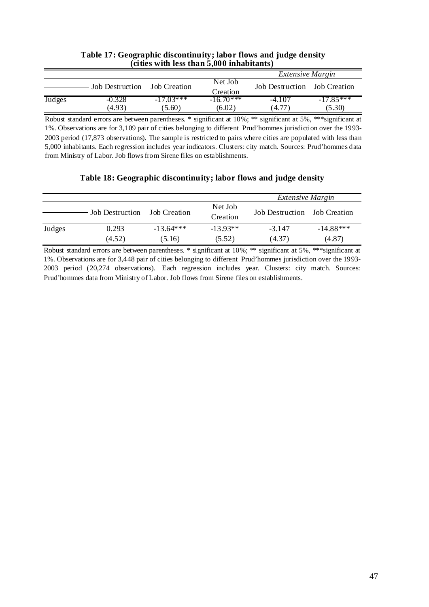| $\alpha$ ucs with its than $\beta$ ,000 millabitants) |                         |                       |                       |                              |                       |  |  |  |
|-------------------------------------------------------|-------------------------|-----------------------|-----------------------|------------------------------|-----------------------|--|--|--|
|                                                       | <i>Extensive Margin</i> |                       |                       |                              |                       |  |  |  |
|                                                       | <b>Job Destruction</b>  | Job Creation          | Net Job<br>Creation   | Job Destruction Job Creation |                       |  |  |  |
| Judges                                                | $-0.328$<br>(4.93)      | $-17.03***$<br>(5.60) | $-1670$ ***<br>(6.02) | $-4.107$<br>(4.77)           | $-17.85***$<br>(5.30) |  |  |  |

#### **Table 17: Geographic discontinuity; labor flows and judge density (cities with less than 5,000 inhabitants)**

Robust standard errors are between parentheses. \* significant at 10%; \*\* significant at 5%, \*\*\*significant at 1%. Observations are for 3,109 pair of cities belonging to different Prud'hommes jurisdiction over the 1993- 2003 period (17,873 observations). The sample is restricted to pairs where cities are populated with less than 5,000 inhabitants. Each regression includes year indicators. Clusters: city match. Sources: Prud'hommes data from Ministry of Labor. Job flows from Sirene files on establishments.

#### **Table 18: Geographic discontinuity; labor flows and judge density**

|        |                        |                       |                      | <i>Extensive Margin</i>      |                       |
|--------|------------------------|-----------------------|----------------------|------------------------------|-----------------------|
|        | <b>Job Destruction</b> | Job Creation          | Net Job<br>Creation  | Job Destruction Job Creation |                       |
| Judges | 0.293<br>(4.52)        | $-13.64***$<br>(5.16) | $-13.93**$<br>(5.52) | $-3.147$<br>(4.37)           | $-14.88***$<br>(4.87) |

Robust standard errors are between parentheses. \* significant at 10%; \*\* significant at 5%, \*\*\*significant at 1%. Observations are for 3,448 pair of cities belonging to different Prud'hommes jurisdiction over the 1993- 2003 period (20,274 observations). Each regression includes year. Clusters: city match. Sources: Prud'hommes data from Ministry of Labor. Job flows from Sirene files on establishments.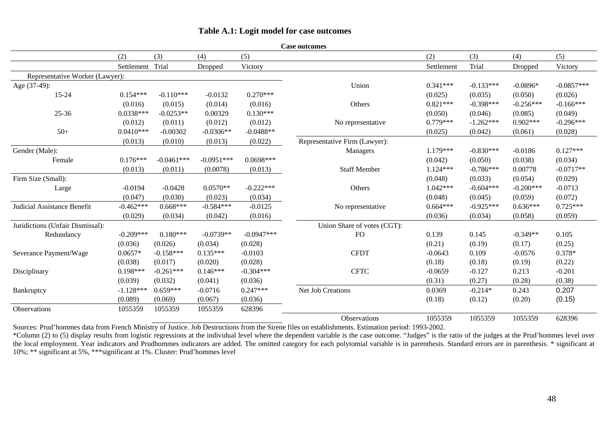#### **Table A.1: Logit model for case outcomes**

|                                    |                  |              |              |              | Case outcomes                 |            |             |             |              |
|------------------------------------|------------------|--------------|--------------|--------------|-------------------------------|------------|-------------|-------------|--------------|
|                                    | (2)              | (3)          | (4)          | (5)          |                               | (2)        | (3)         | (4)         | (5)          |
|                                    | Settlement Trial |              | Dropped      | Victory      |                               | Settlement | Trial       | Dropped     | Victory      |
| Representative Worker (Lawyer):    |                  |              |              |              |                               |            |             |             |              |
| Age (37-49):                       |                  |              |              |              | Union                         | $0.341***$ | $-0.133***$ | $-0.0896*$  | $-0.0857***$ |
| $15 - 24$                          | $0.154***$       | $-0.110***$  | $-0.0132$    | $0.270***$   |                               | (0.025)    | (0.035)     | (0.050)     | (0.026)      |
|                                    | (0.016)          | (0.015)      | (0.014)      | (0.016)      | Others                        | $0.821***$ | $-0.398***$ | $-0.256***$ | $-0.166***$  |
| $25 - 36$                          | $0.0338***$      | $-0.0253**$  | 0.00329      | $0.130***$   |                               | (0.050)    | (0.046)     | (0.085)     | (0.049)      |
|                                    | (0.012)          | (0.011)      | (0.012)      | (0.012)      | No representative             | $0.779***$ | $-1.262***$ | $0.902***$  | $-0.296***$  |
| $50+$                              | $0.0410***$      | $-0.00302$   | $-0.0306**$  | $-0.0488**$  |                               | (0.025)    | (0.042)     | (0.061)     | (0.028)      |
|                                    | (0.013)          | (0.010)      | (0.013)      | (0.022)      | Representative Firm (Lawyer): |            |             |             |              |
| Gender (Male):                     |                  |              |              |              | Managers                      | $1.179***$ | $-0.830***$ | $-0.0186$   | $0.127***$   |
| Female                             | $0.176***$       | $-0.0461***$ | $-0.0951***$ | $0.0698***$  |                               | (0.042)    | (0.050)     | (0.038)     | (0.034)      |
|                                    | (0.013)          | (0.011)      | (0.0078)     | (0.013)      | <b>Staff Member</b>           | $1.124***$ | $-0.786***$ | 0.00778     | $-0.0717**$  |
| Firm Size (Small):                 |                  |              |              |              |                               | (0.048)    | (0.033)     | (0.054)     | (0.029)      |
| Large                              | $-0.0194$        | $-0.0428$    | $0.0570**$   | $-0.222***$  | Others                        | $1.042***$ | $-0.604***$ | $-0.200***$ | $-0.0713$    |
|                                    | (0.047)          | (0.030)      | (0.023)      | (0.034)      |                               | (0.048)    | (0.045)     | (0.059)     | (0.072)      |
| <b>Judicial Assistance Benefit</b> | $-0.462***$      | $0.668***$   | $-0.584***$  | $-0.0125$    | No representative             | $0.664***$ | $-0.925***$ | $0.636***$  | $0.725***$   |
|                                    | (0.029)          | (0.034)      | (0.042)      | (0.016)      |                               | (0.036)    | (0.034)     | (0.058)     | (0.059)      |
| Juridictions (Unfair Dismissal):   |                  |              |              |              | Union Share of votes (CGT):   |            |             |             |              |
| Redundancy                         | $-0.209***$      | $0.180***$   | $-0.0739**$  | $-0.0947***$ | <b>FO</b>                     | 0.139      | 0.145       | $-0.349**$  | 0.105        |
|                                    | (0.036)          | (0.026)      | (0.034)      | (0.028)      |                               | (0.21)     | (0.19)      | (0.17)      | (0.25)       |
| Severance Payment/Wage             | $0.0657*$        | $-0.158***$  | $0.135***$   | $-0.0103$    | <b>CFDT</b>                   | $-0.0643$  | 0.109       | $-0.0576$   | 0.378*       |
|                                    | (0.038)          | (0.017)      | (0.020)      | (0.028)      |                               | (0.18)     | (0.18)      | (0.19)      | (0.22)       |
| Disciplinary                       | $0.198***$       | $-0.261***$  | $0.146***$   | $-0.304***$  | <b>CFTC</b>                   | $-0.0659$  | $-0.127$    | 0.213       | $-0.201$     |
|                                    | (0.039)          | (0.032)      | (0.041)      | (0.036)      |                               | (0.31)     | (0.27)      | (0.28)      | (0.38)       |
| Bankruptcy                         | $-1.128***$      | $0.659***$   | $-0.0716$    | $0.247***$   | Net Job Creations             | 0.0369     | $-0.214*$   | 0.243       | 0.207        |
|                                    | (0.089)          | (0.069)      | (0.067)      | (0.036)      |                               | (0.18)     | (0.12)      | (0.20)      | (0.15)       |
| Observations                       | 1055359          | 1055359      | 1055359      | 628396       |                               |            |             |             |              |
|                                    |                  |              |              |              | Observations                  | 1055359    | 1055359     | 1055359     | 628396       |

**Case outcomes** 

Sources: Prud'hommes data from French Ministry of Justice. Job Destructions from the Sirene files on establishments. Estimation period: 1993-2002.

\*Column (2) to (5) display results from logistic regressions at the individual level where the dependent variable is the case outcome. "Judges" is the ratio of the judges at the Prud'hommes level over the local employment. Year indicators and Prudhommes indicators are added. The omitted category for each polytomial variable is in parenthesis. Standard errors are in parenthesis. \* significant at 10%; \*\* significant at 5%, \*\*\*significant at 1%. Cluster: Prud'hommes level